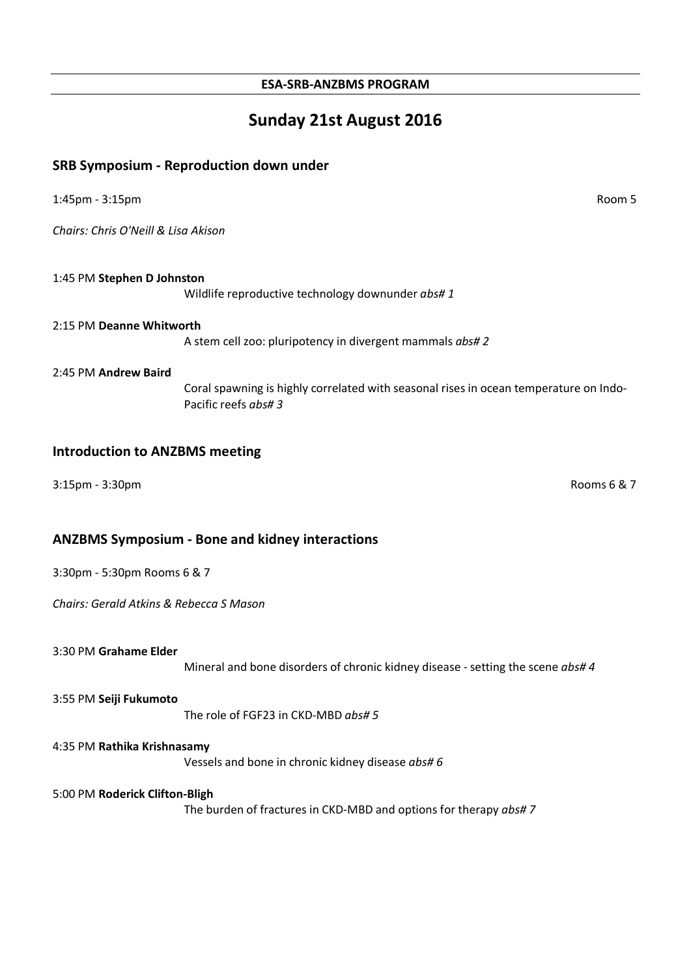### **Sunday 21st August 2016**

#### **SRB Symposium - Reproduction down under**

1:45pm - 3:15pm Room 5

*Chairs: Chris O'Neill & Lisa Akison*

1:45 PM **Stephen D Johnston** Wildlife reproductive technology downunder *abs# 1*

#### 2:15 PM **Deanne Whitworth**

A stem cell zoo: pluripotency in divergent mammals *abs# 2*

#### 2:45 PM **Andrew Baird**

Coral spawning is highly correlated with seasonal rises in ocean temperature on Indo-Pacific reefs *abs# 3*

#### **Introduction to ANZBMS meeting**

3:15pm - 3:30pm Rooms 6 & 7

### **ANZBMS Symposium - Bone and kidney interactions**

3:30pm - 5:30pm Rooms 6 & 7

*Chairs: Gerald Atkins & Rebecca S Mason*

#### 3:30 PM **Grahame Elder**

Mineral and bone disorders of chronic kidney disease -setting the scene *abs# 4*

#### 3:55 PM **Seiji Fukumoto**

The role of FGF23 in CKD-MBD *abs# 5*

#### 4:35 PM **Rathika Krishnasamy**

Vessels and bone in chronic kidney disease *abs# 6*

#### 5:00 PM **Roderick Clifton-Bligh**

The burden of fractures in CKD-MBD and options for therapy *abs# 7*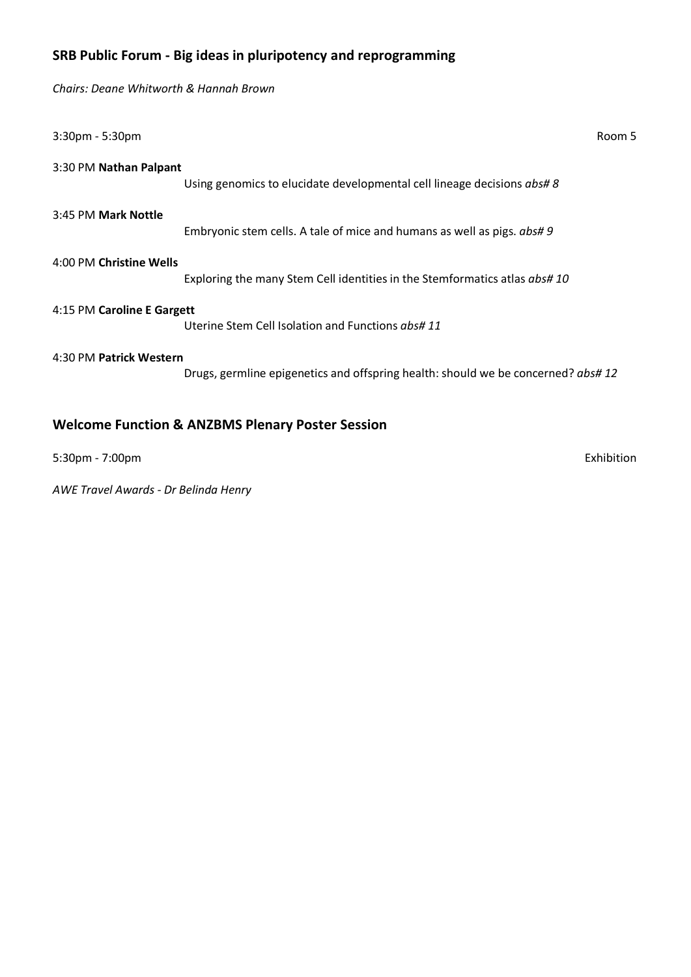### **SRB Public Forum - Big ideas in pluripotency and reprogramming**

*Chairs: Deane Whitworth & Hannah Brown*

| 3:30pm - 5:30pm                                             |                                                                                   | Room 5 |
|-------------------------------------------------------------|-----------------------------------------------------------------------------------|--------|
| 3:30 PM Nathan Palpant                                      | Using genomics to elucidate developmental cell lineage decisions abs#8            |        |
| 3:45 PM Mark Nottle                                         | Embryonic stem cells. A tale of mice and humans as well as pigs. abs#9            |        |
| 4:00 PM Christine Wells                                     | Exploring the many Stem Cell identities in the Stemformatics atlas abs# 10        |        |
| 4:15 PM Caroline E Gargett                                  | Uterine Stem Cell Isolation and Functions abs# 11                                 |        |
| 4:30 PM Patrick Western                                     | Drugs, germline epigenetics and offspring health: should we be concerned? abs# 12 |        |
| <b>Welcome Function &amp; ANZBMS Plenary Poster Session</b> |                                                                                   |        |

5:30pm - 7:00pm Exhibition

*AWE Travel Awards - Dr Belinda Henry*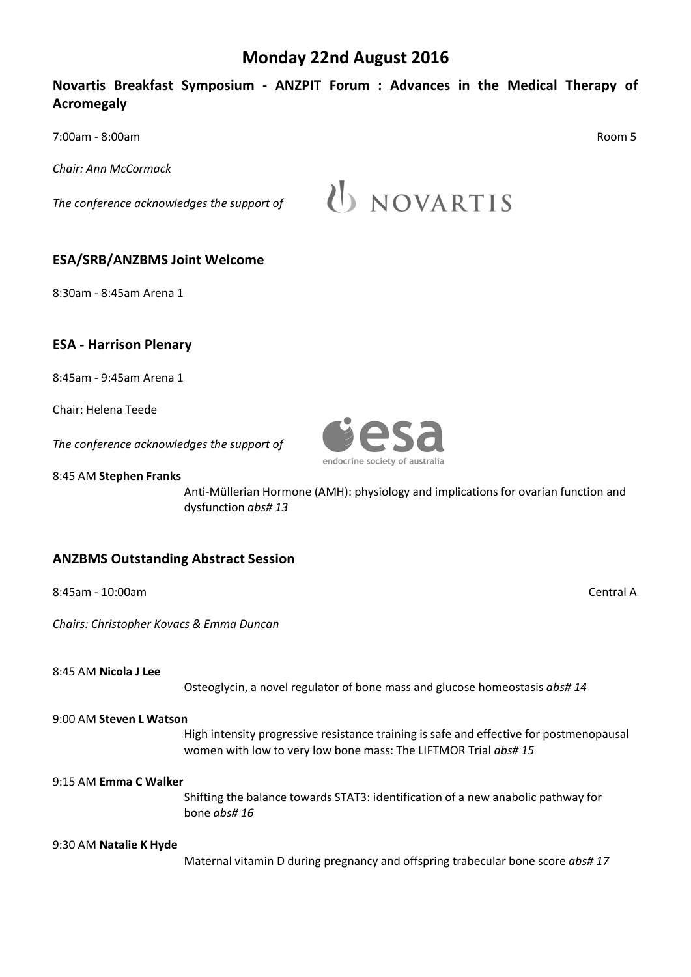### **Monday 22nd August 2016**

### **Novartis Breakfast Symposium - ANZPIT Forum : Advances in the Medical Therapy of Acromegaly**

7:00am - 8:00am Room 5

*Chair: Ann McCormack*

*The conference acknowledges the support of*

U NOVARTIS

### **ESA/SRB/ANZBMS Joint Welcome**

8:30am - 8:45am Arena 1

### **ESA - Harrison Plenary**

8:45am - 9:45am Arena 1

Chair: Helena Teede

*The conference acknowledges the support of*

8:45 AM **Stephen Franks**

Anti-Müllerian Hormone (AMH): physiology and implications for ovarian function and dysfunction *abs# 13*

### **ANZBMS Outstanding Abstract Session**

8:45am - 10:00am Central A

*Chairs: Christopher Kovacs & Emma Duncan*

8:45 AM **Nicola J Lee**

Osteoglycin, a novel regulator of bone mass and glucose homeostasis *abs# 14*

#### 9:00 AM **Steven L Watson**

High intensity progressive resistance training is safe and effective for postmenopausal women with low to very low bone mass: The LIFTMOR Trial *abs# 15*

#### 9:15 AM **Emma C Walker**

Shifting the balance towards STAT3: identification of a new anabolic pathway for bone *abs# 16*

#### 9:30 AM **Natalie K Hyde**

Maternal vitamin D during pregnancy and offspring trabecular bone score *abs# 17*

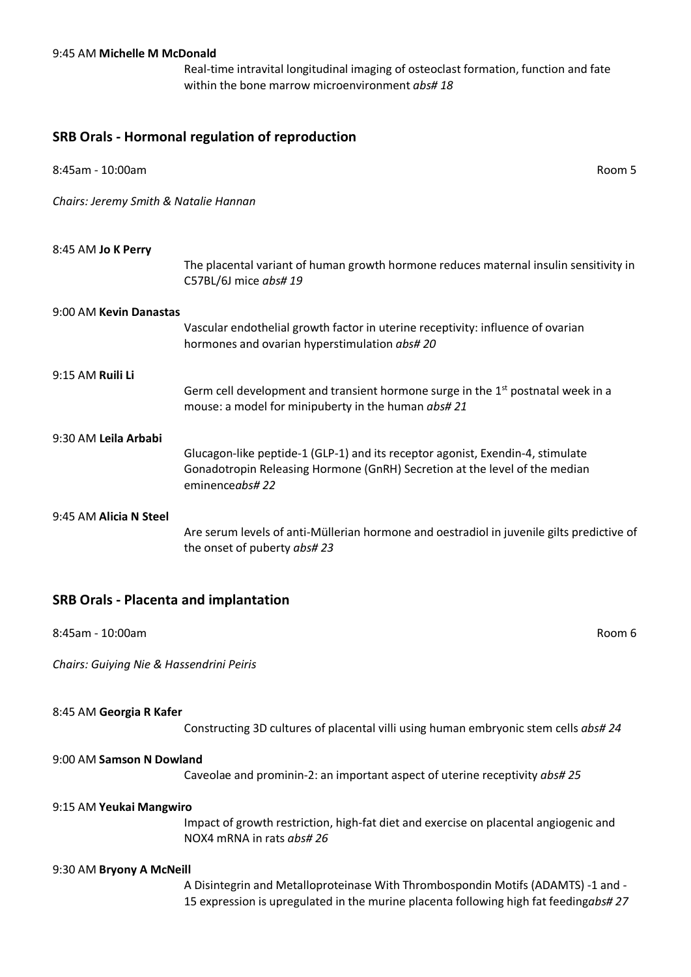#### 9:45 AM **Michelle M McDonald**

Real-time intravital longitudinal imaging of osteoclast formation, function and fate within the bone marrow microenvironment *abs# 18*

#### **SRB Orals - Hormonal regulation of reproduction**

| 8:45am - 10:00am                      | Room 5                                                                                                                                                                         |
|---------------------------------------|--------------------------------------------------------------------------------------------------------------------------------------------------------------------------------|
| Chairs: Jeremy Smith & Natalie Hannan |                                                                                                                                                                                |
| 8:45 AM Jo K Perry                    | The placental variant of human growth hormone reduces maternal insulin sensitivity in<br>C57BL/6J mice abs# 19                                                                 |
| 9:00 AM Kevin Danastas                | Vascular endothelial growth factor in uterine receptivity: influence of ovarian<br>hormones and ovarian hyperstimulation abs#20                                                |
| 9:15 AM <b>Ruili Li</b>               | Germ cell development and transient hormone surge in the $1st$ postnatal week in a<br>mouse: a model for minipuberty in the human abs#21                                       |
| 9:30 AM Leila Arbabi                  | Glucagon-like peptide-1 (GLP-1) and its receptor agonist, Exendin-4, stimulate<br>Gonadotropin Releasing Hormone (GnRH) Secretion at the level of the median<br>eminenceabs#22 |
| 9:45 AM Alicia N Steel                | Are serum levels of anti-Müllerian hormone and oestradiol in juvenile gilts predictive of<br>the onset of puberty abs#23                                                       |

### **SRB Orals - Placenta and implantation**

| 8:45am - 10:00am | Room 6 |
|------------------|--------|
|------------------|--------|

*Chairs: Guiying Nie & Hassendrini Peiris*

#### 8:45 AM **Georgia R Kafer**

Constructing 3D cultures of placental villi using human embryonic stem cells *abs# 24*

#### 9:00 AM **Samson N Dowland**

Caveolae and prominin-2: an important aspect of uterine receptivity *abs# 25*

#### 9:15 AM **Yeukai Mangwiro**

Impact of growth restriction, high-fat diet and exercise on placental angiogenic and NOX4 mRNA in rats *abs# 26*

#### 9:30 AM **Bryony A McNeill**

A Disintegrin and Metalloproteinase With Thrombospondin Motifs (ADAMTS) -1 and - 15 expression is upregulated in the murine placenta following high fat feeding*abs# 27*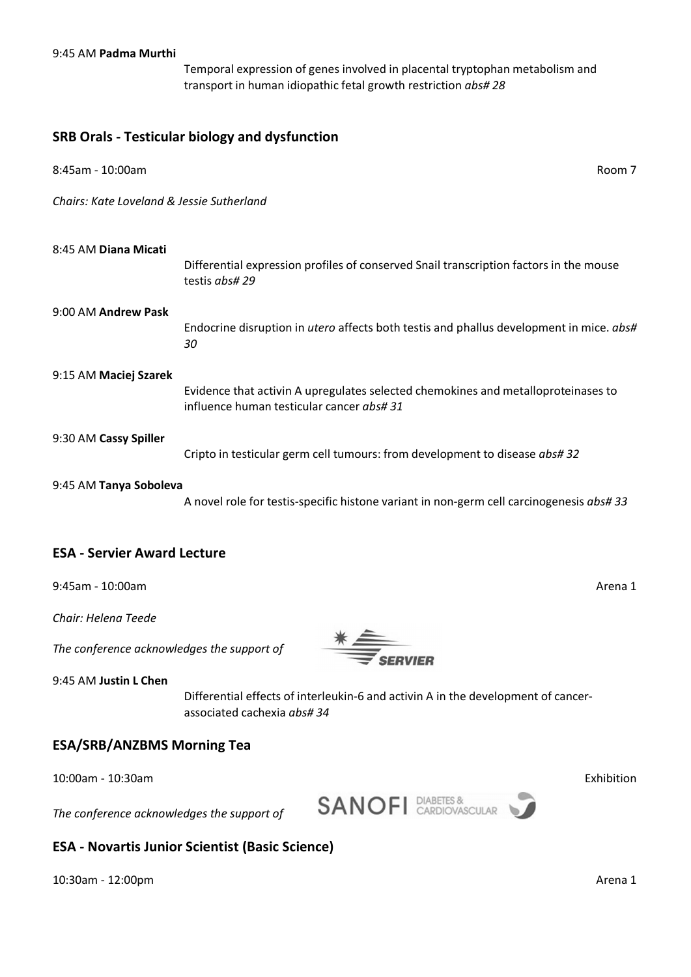Temporal expression of genes involved in placental tryptophan metabolism and transport in human idiopathic fetal growth restriction *abs# 28*

#### **SRB Orals - Testicular biology and dysfunction**

| 8:45am - 10:00am                          | Room 7                                                                                                                         |
|-------------------------------------------|--------------------------------------------------------------------------------------------------------------------------------|
| Chairs: Kate Loveland & Jessie Sutherland |                                                                                                                                |
| 8:45 AM Diana Micati                      | Differential expression profiles of conserved Snail transcription factors in the mouse<br>testis abs#29                        |
| 9:00 AM Andrew Pask                       | Endocrine disruption in <i>utero</i> affects both testis and phallus development in mice. abs#<br>30                           |
| 9:15 AM Maciej Szarek                     | Evidence that activin A upregulates selected chemokines and metalloproteinases to<br>influence human testicular cancer abs# 31 |
| 9:30 AM Cassy Spiller                     | Cripto in testicular germ cell tumours: from development to disease abs# 32                                                    |
| 9:45 AM Tanya Soboleva                    |                                                                                                                                |

A novel role for testis-specific histone variant in non-germ cell carcinogenesis *abs# 33*

### **ESA - Servier Award Lecture**

9:45am - 10:00am Arena 1

*Chair: Helena Teede*

*The conference acknowledges the support of*



9:45 AM **Justin L Chen**

Differential effects of interleukin-6 and activin A in the development of cancerassociated cachexia *abs# 34*

### **ESA/SRB/ANZBMS Morning Tea**

10:00am - 10:30am Exhibition

**SANOFI** DIABETES & *The conference acknowledges the support of*



### **ESA - Novartis Junior Scientist (Basic Science)**

10:30am - 12:00pm Arena 1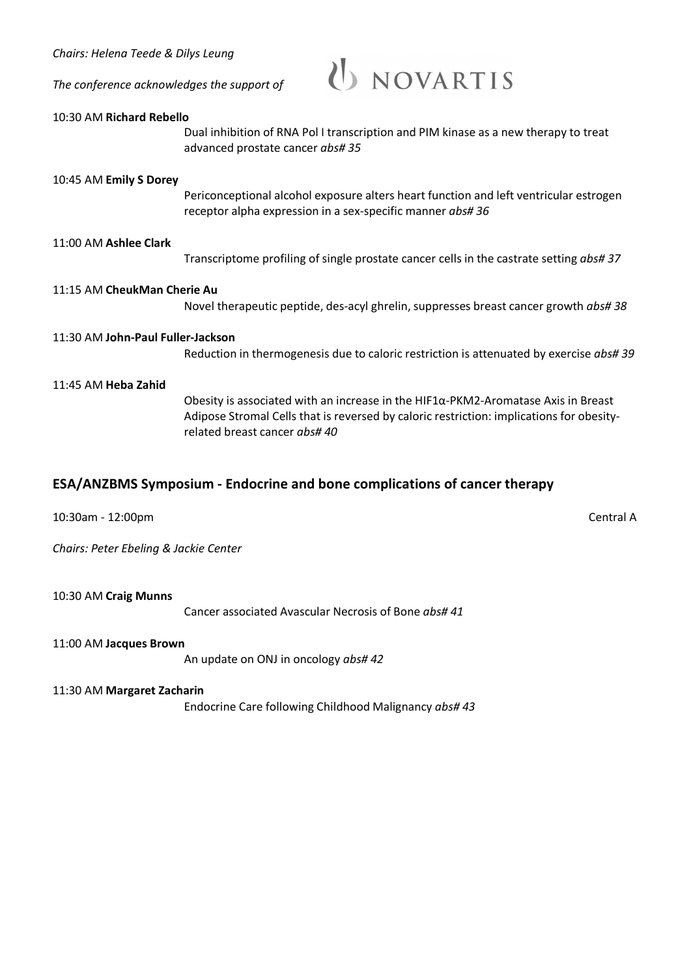*Chairs: Helena Teede & Dilys Leung The conference acknowledges the support of*



#### 10:30 AM **Richard Rebello**

Dual inhibition of RNA Pol I transcription and PIM kinase as a new therapy to treat advanced prostate cancer *abs# 35*

#### 10:45 AM **Emily S Dorey**

Periconceptional alcohol exposure alters heart function and left ventricular estrogen receptor alpha expression in a sex-specific manner *abs# 36*

#### 11:00 AM **Ashlee Clark**

Transcriptome profiling of single prostate cancer cells in the castrate setting *abs# 37*

#### 11:15 AM **CheukMan Cherie Au**

Novel therapeutic peptide, des-acyl ghrelin, suppresses breast cancer growth *abs# 38*

#### 11:30 AM **John-Paul Fuller-Jackson**

Reduction in thermogenesis due to caloric restriction is attenuated by exercise *abs# 39*

#### 11:45 AM **Heba Zahid**

Obesity is associated with an increase in the HIF1 $\alpha$ -PKM2-Aromatase Axis in Breast Adipose Stromal Cells that is reversed by caloric restriction: implications for obesityrelated breast cancer *abs# 40*

### **ESA/ANZBMS Symposium - Endocrine and bone complications of cancer therapy**

10:30am - 12:00pm Central A

*Chairs: Peter Ebeling & Jackie Center*

10:30 AM **Craig Munns**

Cancer associated Avascular Necrosis of Bone *abs# 41*

#### 11:00 AM **Jacques Brown**

An update on ONJ in oncology *abs# 42*

#### 11:30 AM **Margaret Zacharin**

Endocrine Care following Childhood Malignancy *abs# 43*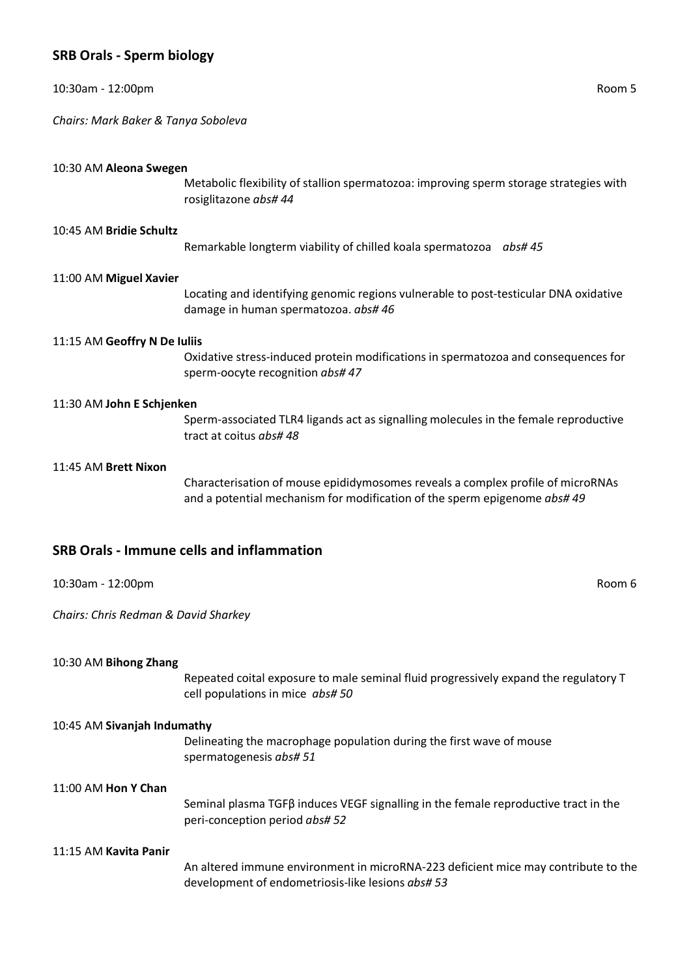### **SRB Orals - Sperm biology**

| 10:30am - 12:00pm                    | Room 5                                                                                                                                                       |
|--------------------------------------|--------------------------------------------------------------------------------------------------------------------------------------------------------------|
| Chairs: Mark Baker & Tanya Soboleva  |                                                                                                                                                              |
| 10:30 AM Aleona Swegen               | Metabolic flexibility of stallion spermatozoa: improving sperm storage strategies with<br>rosiglitazone abs# 44                                              |
| 10:45 AM Bridie Schultz              | Remarkable longterm viability of chilled koala spermatozoa abs#45                                                                                            |
| 11:00 AM Miguel Xavier               | Locating and identifying genomic regions vulnerable to post-testicular DNA oxidative<br>damage in human spermatozoa. abs# 46                                 |
| 11:15 AM Geoffry N De Iuliis         | Oxidative stress-induced protein modifications in spermatozoa and consequences for<br>sperm-oocyte recognition abs# 47                                       |
| 11:30 AM John E Schjenken            | Sperm-associated TLR4 ligands act as signalling molecules in the female reproductive<br>tract at coitus abs#48                                               |
| 11:45 AM Brett Nixon                 | Characterisation of mouse epididymosomes reveals a complex profile of microRNAs<br>and a potential mechanism for modification of the sperm epigenome abs# 49 |
|                                      | <b>SRB Orals - Immune cells and inflammation</b>                                                                                                             |
| 10:30am - 12:00pm                    | Room 6                                                                                                                                                       |
| Chairs: Chris Redman & David Sharkey |                                                                                                                                                              |
| 10:30 AM Bihong Zhang                | Repeated coital exposure to male seminal fluid progressively expand the regulatory T<br>cell populations in mice abs#50                                      |
| 10:45 AM Sivanjah Indumathy          | Delineating the macrophage population during the first wave of mouse<br>spermatogenesis abs# 51                                                              |

11:00 AM **Hon Y Chan**

Seminal plasma TGFβ induces VEGF signalling in the female reproductive tract in the peri-conception period *abs# 52*

#### 11:15 AM **Kavita Panir**

An altered immune environment in microRNA-223 deficient mice may contribute to the development of endometriosis-like lesions *abs# 53*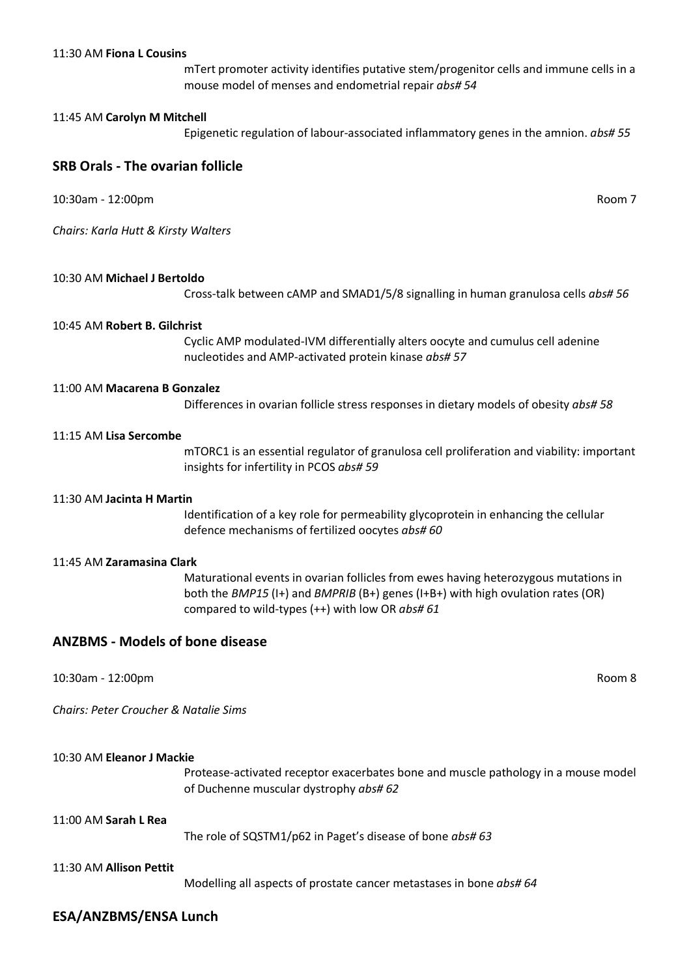mTert promoter activity identifies putative stem/progenitor cells and immune cells in a mouse model of menses and endometrial repair *abs# 54*

#### 11:45 AM **Carolyn M Mitchell**

Epigenetic regulation of labour-associated inflammatory genes in the amnion. *abs# 55*

#### **SRB Orals - The ovarian follicle**

10:30am - 12:00pm Room 7

*Chairs: Karla Hutt & Kirsty Walters*

#### 10:30 AM **Michael J Bertoldo**

Cross-talk between cAMP and SMAD1/5/8 signalling in human granulosa cells *abs# 56*

#### 10:45 AM **Robert B. Gilchrist**

Cyclic AMP modulated-IVM differentially alters oocyte and cumulus cell adenine nucleotides and AMP-activated protein kinase *abs# 57*

#### 11:00 AM **Macarena B Gonzalez**

Differences in ovarian follicle stress responses in dietary models of obesity *abs# 58*

#### 11:15 AM **Lisa Sercombe**

mTORC1 is an essential regulator of granulosa cell proliferation and viability: important insights for infertility in PCOS *abs# 59*

#### 11:30 AM **Jacinta H Martin**

Identification of a key role for permeability glycoprotein in enhancing the cellular defence mechanisms of fertilized oocytes *abs# 60*

#### 11:45 AM **Zaramasina Clark**

Maturational events in ovarian follicles from ewes having heterozygous mutations in both the *BMP15* (I+) and *BMPRIB* (B+) genes (I+B+) with high ovulation rates (OR) compared to wild-types (++) with low OR *abs# 61*

#### **ANZBMS - Models of bone disease**

10:30am - 12:00pm Room 8

*Chairs: Peter Croucher & Natalie Sims*

10:30 AM **Eleanor J Mackie**

Protease-activated receptor exacerbates bone and muscle pathology in a mouse model of Duchenne muscular dystrophy *abs# 62*

#### 11:00 AM **Sarah L Rea**

The role of SQSTM1/p62 in Paget's disease of bone *abs# 63*

#### 11:30 AM **Allison Pettit**

Modelling all aspects of prostate cancer metastases in bone *abs# 64*

#### **ESA/ANZBMS/ENSA Lunch**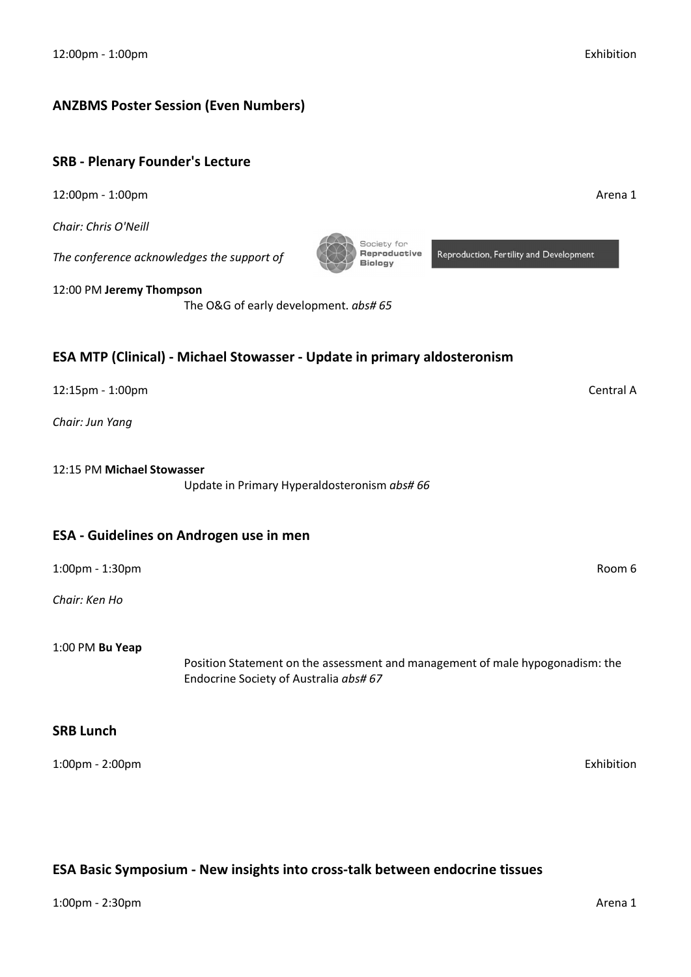### **ANZBMS Poster Session (Even Numbers)**

### **SRB - Plenary Founder's Lecture**

12:00pm - 1:00pm Arena 1

*Chair: Chris O'Neill*

*The conference acknowledges the support of*

12:00 PM **Jeremy Thompson**

The O&G of early development. *abs# 65*

### **ESA MTP (Clinical) - Michael Stowasser - Update in primary aldosteronism**

12:15pm - 1:00pm Central A

*Chair: Jun Yang*

12:15 PM **Michael Stowasser**

Update in Primary Hyperaldosteronism *abs# 66*

### **ESA - Guidelines on Androgen use in men**

1:00pm - 1:30pm Room 6

*Chair: Ken Ho*

1:00 PM **Bu Yeap**

Position Statement on the assessment and management of male hypogonadism: the Endocrine Society of Australia *abs# 67*

### **SRB Lunch**

1:00pm - 2:00pm Exhibition

### **ESA Basic Symposium - New insights into cross-talk between endocrine tissues**



Reproduction, Fertility and Development

Society for Reproductive

**Biology**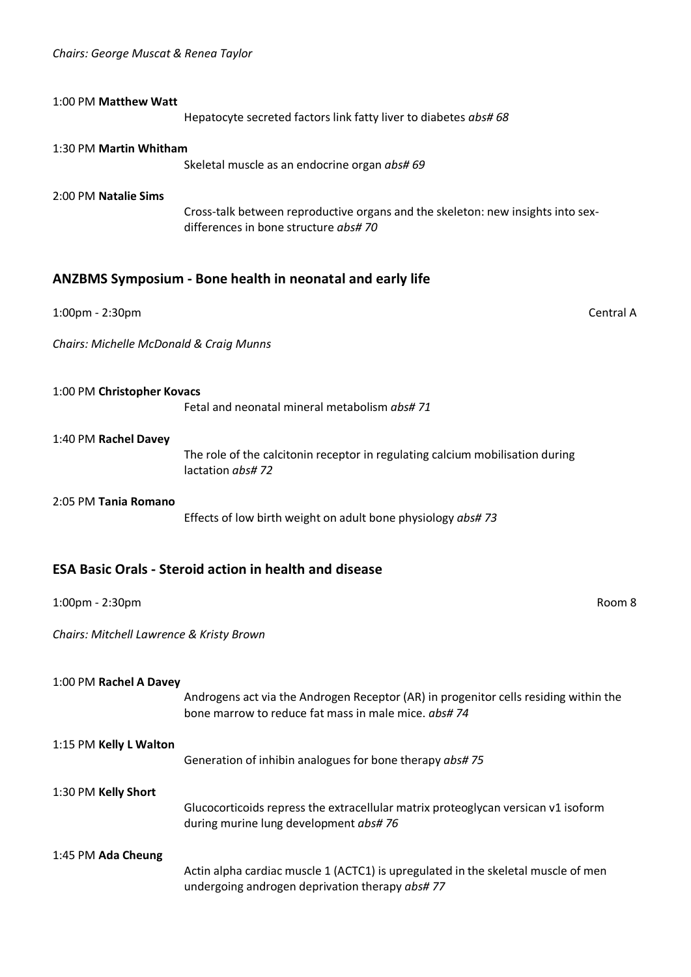| 1:00 PM Matthew Watt                     |                                                                                                                                             |
|------------------------------------------|---------------------------------------------------------------------------------------------------------------------------------------------|
|                                          | Hepatocyte secreted factors link fatty liver to diabetes abs# 68                                                                            |
| 1:30 PM Martin Whitham                   | Skeletal muscle as an endocrine organ abs# 69                                                                                               |
| 2:00 PM Natalie Sims                     | Cross-talk between reproductive organs and the skeleton: new insights into sex-<br>differences in bone structure abs#70                     |
|                                          | <b>ANZBMS Symposium - Bone health in neonatal and early life</b>                                                                            |
| 1:00pm - 2:30pm                          | Central A                                                                                                                                   |
| Chairs: Michelle McDonald & Craig Munns  |                                                                                                                                             |
| 1:00 PM Christopher Kovacs               | Fetal and neonatal mineral metabolism abs#71                                                                                                |
| 1:40 PM Rachel Davey                     | The role of the calcitonin receptor in regulating calcium mobilisation during<br>lactation abs#72                                           |
| 2:05 PM Tania Romano                     | Effects of low birth weight on adult bone physiology abs#73                                                                                 |
|                                          | <b>ESA Basic Orals - Steroid action in health and disease</b>                                                                               |
| 1:00pm - 2:30pm                          | Room 8                                                                                                                                      |
| Chairs: Mitchell Lawrence & Kristy Brown |                                                                                                                                             |
| 1:00 PM Rachel A Davey                   | Androgens act via the Androgen Receptor (AR) in progenitor cells residing within the<br>bone marrow to reduce fat mass in male mice. abs#74 |
| 1:15 PM Kelly L Walton                   | Generation of inhibin analogues for bone therapy abs#75                                                                                     |
| 1:30 PM Kelly Short                      | Glucocorticoids repress the extracellular matrix proteoglycan versican v1 isoform<br>during murine lung development abs#76                  |
| 1:45 PM Ada Cheung                       | Actin alpha cardiac muscle 1 (ACTC1) is upregulated in the skeletal muscle of men<br>undergoing androgen deprivation therapy abs#77         |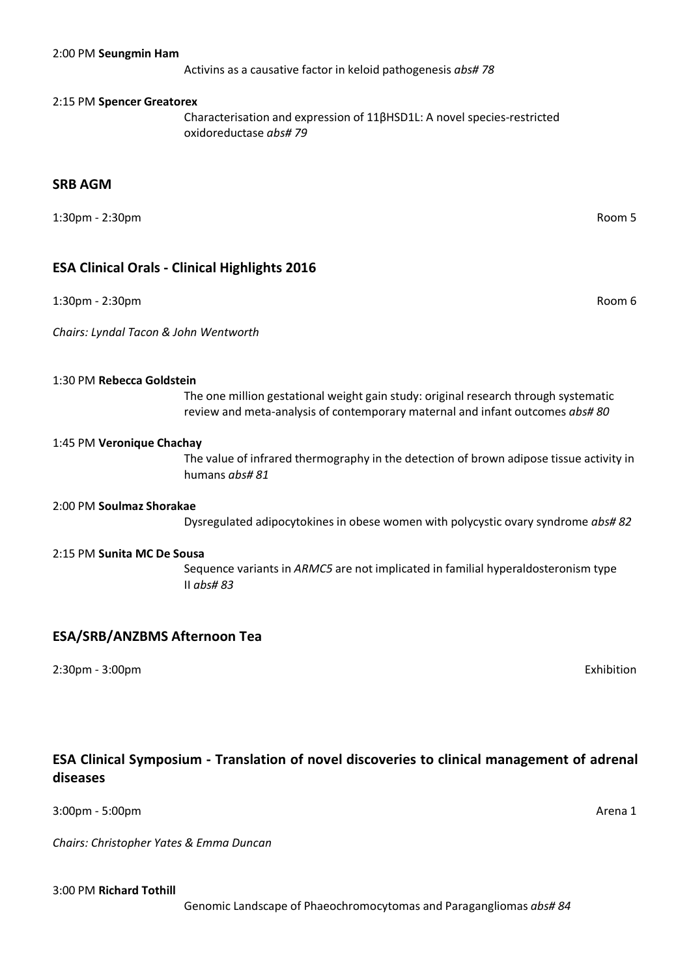Activins as a causative factor in keloid pathogenesis *abs# 78*

#### 2:15 PM **Spencer Greatorex**

Characterisation and expression of 11βHSD1L: A novel species-restricted oxidoreductase *abs# 79*

#### **SRB AGM**

1:30pm - 2:30pm Room 5

#### **ESA Clinical Orals - Clinical Highlights 2016**

1:30pm - 2:30pm Room 6

*Chairs: Lyndal Tacon & John Wentworth*

#### 1:30 PM **Rebecca Goldstein**

The one million gestational weight gain study: original research through systematic review and meta-analysis of contemporary maternal and infant outcomes *abs# 80*

#### 1:45 PM **Veronique Chachay**

The value of infrared thermography in the detection of brown adipose tissue activity in humans *abs# 81*

#### 2:00 PM **Soulmaz Shorakae**

Dysregulated adipocytokines in obese women with polycystic ovary syndrome *abs# 82*

#### 2:15 PM **Sunita MC De Sousa**

Sequence variants in *ARMC5* are not implicated in familial hyperaldosteronism type II *abs# 83*

#### **ESA/SRB/ANZBMS Afternoon Tea**

2:30pm - 3:00pm Exhibition

### **ESA Clinical Symposium - Translation of novel discoveries to clinical management of adrenal diseases**

3:00pm - 5:00pm Arena 1

*Chairs: Christopher Yates & Emma Duncan*

#### 3:00 PM **Richard Tothill**

Genomic Landscape of Phaeochromocytomas and Paragangliomas *abs# 84*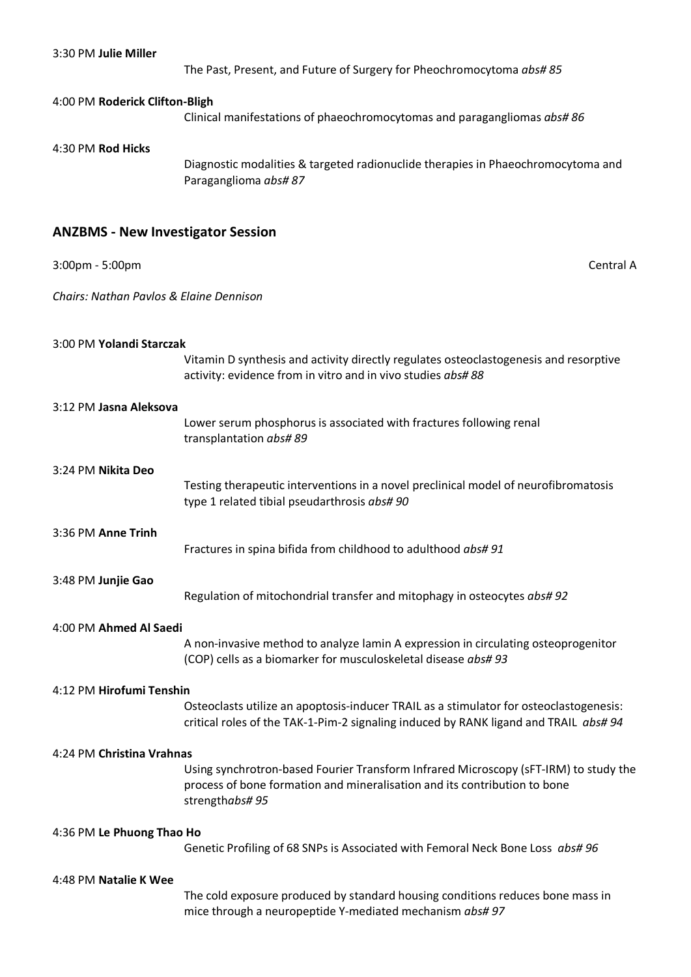| 3:30 PM Julie Miller                     | The Past, Present, and Future of Surgery for Pheochromocytoma abs# 85                                                                                                               |
|------------------------------------------|-------------------------------------------------------------------------------------------------------------------------------------------------------------------------------------|
| 4:00 PM Roderick Clifton-Bligh           | Clinical manifestations of phaeochromocytomas and paragangliomas abs#86                                                                                                             |
| 4:30 PM Rod Hicks                        | Diagnostic modalities & targeted radionuclide therapies in Phaeochromocytoma and<br>Paraganglioma abs#87                                                                            |
| <b>ANZBMS - New Investigator Session</b> |                                                                                                                                                                                     |
| 3:00pm - 5:00pm                          | Central A                                                                                                                                                                           |
| Chairs: Nathan Pavlos & Elaine Dennison  |                                                                                                                                                                                     |
| 3:00 PM Yolandi Starczak                 | Vitamin D synthesis and activity directly regulates osteoclastogenesis and resorptive<br>activity: evidence from in vitro and in vivo studies abs# 88                               |
| 3:12 PM Jasna Aleksova                   | Lower serum phosphorus is associated with fractures following renal<br>transplantation abs#89                                                                                       |
| 3:24 PM Nikita Deo                       | Testing therapeutic interventions in a novel preclinical model of neurofibromatosis<br>type 1 related tibial pseudarthrosis abs# 90                                                 |
| 3:36 PM Anne Trinh                       | Fractures in spina bifida from childhood to adulthood abs# 91                                                                                                                       |
| 3:48 PM Junjie Gao                       | Regulation of mitochondrial transfer and mitophagy in osteocytes abs# 92                                                                                                            |
| 4:00 PM Ahmed Al Saedi                   | A non-invasive method to analyze lamin A expression in circulating osteoprogenitor<br>(COP) cells as a biomarker for musculoskeletal disease abs# 93                                |
| 4:12 PM Hirofumi Tenshin                 | Osteoclasts utilize an apoptosis-inducer TRAIL as a stimulator for osteoclastogenesis:<br>critical roles of the TAK-1-Pim-2 signaling induced by RANK ligand and TRAIL abs# 94      |
| 4:24 PM Christina Vrahnas                | Using synchrotron-based Fourier Transform Infrared Microscopy (sFT-IRM) to study the<br>process of bone formation and mineralisation and its contribution to bone<br>strengthabs#95 |
| 4:36 PM Le Phuong Thao Ho                | Genetic Profiling of 68 SNPs is Associated with Femoral Neck Bone Loss abs# 96                                                                                                      |
| 4:48 PM Natalie K Wee                    | The cold exposure produced by standard housing conditions reduces bone mass in<br>mice through a neuropeptide Y-mediated mechanism abs# 97                                          |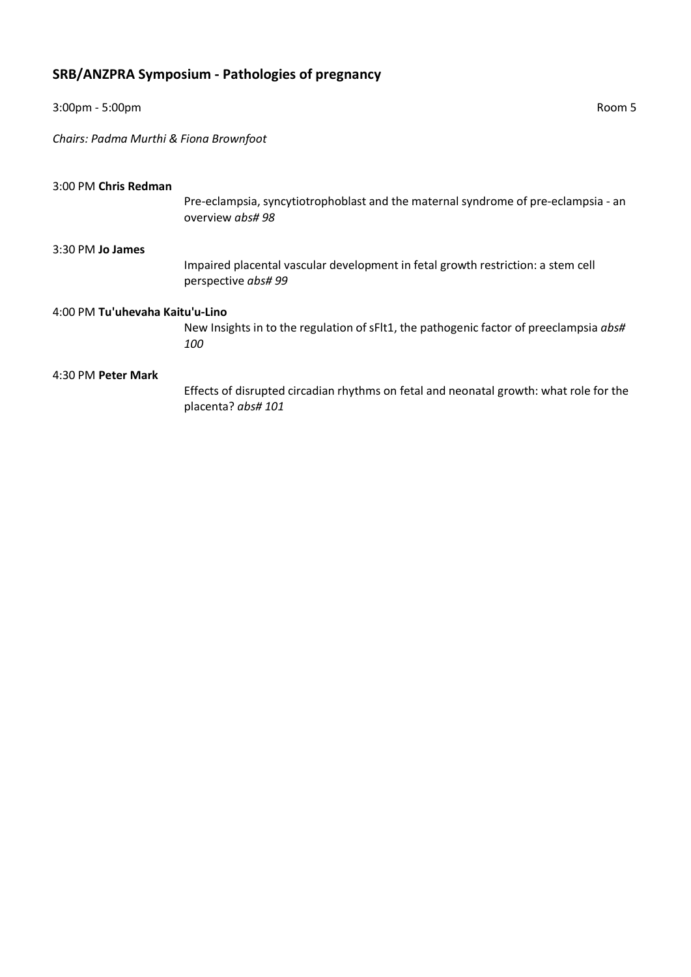# **SRB/ANZPRA Symposium - Pathologies of pregnancy**

| $3:00$ pm - 5:00pm                     | Room 5                                                                                                       |  |
|----------------------------------------|--------------------------------------------------------------------------------------------------------------|--|
| Chairs: Padma Murthi & Fiona Brownfoot |                                                                                                              |  |
| 3:00 PM Chris Redman                   | Pre-eclampsia, syncytiotrophoblast and the maternal syndrome of pre-eclampsia - an<br>overview abs#98        |  |
| 3:30 PM Jo James                       | Impaired placental vascular development in fetal growth restriction: a stem cell<br>perspective abs# 99      |  |
| 4:00 PM Tu'uhevaha Kaitu'u-Lino        | New Insights in to the regulation of sFlt1, the pathogenic factor of preeclampsia abs#<br>100                |  |
| 4:30 PM Peter Mark                     | Effects of disrupted circadian rhythms on fetal and neonatal growth: what role for the<br>placenta? abs# 101 |  |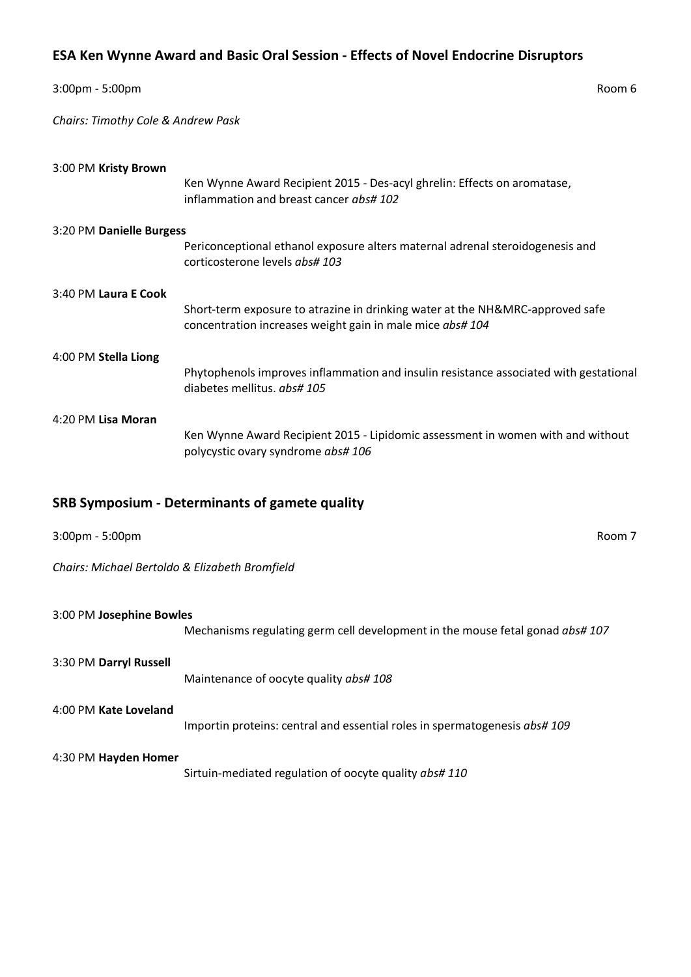### **ESA Ken Wynne Award and Basic Oral Session - Effects of Novel Endocrine Disruptors**

| 3:00pm - 5:00pm                    | Room 6                                                                                                                                     |  |
|------------------------------------|--------------------------------------------------------------------------------------------------------------------------------------------|--|
| Chairs: Timothy Cole & Andrew Pask |                                                                                                                                            |  |
| 3:00 PM Kristy Brown               | Ken Wynne Award Recipient 2015 - Des-acyl ghrelin: Effects on aromatase,<br>inflammation and breast cancer abs# 102                        |  |
| 3:20 PM Danielle Burgess           |                                                                                                                                            |  |
|                                    | Periconceptional ethanol exposure alters maternal adrenal steroidogenesis and<br>corticosterone levels abs# 103                            |  |
| 3:40 PM Laura E Cook               | Short-term exposure to atrazine in drinking water at the NH&MRC-approved safe<br>concentration increases weight gain in male mice abs# 104 |  |
| 4:00 PM Stella Liong               | Phytophenols improves inflammation and insulin resistance associated with gestational<br>diabetes mellitus. abs# 105                       |  |
| 4:20 PM Lisa Moran                 | Ken Wynne Award Recipient 2015 - Lipidomic assessment in women with and without<br>polycystic ovary syndrome abs# 106                      |  |
|                                    | <b>SRB Symposium - Determinants of gamete quality</b>                                                                                      |  |
| $3:00 \text{pm} - 5:00 \text{pm}$  | Room 7                                                                                                                                     |  |

*Chairs: Michael Bertoldo & Elizabeth Bromfield*

| 3:00 PM Josephine Bowles | Mechanisms regulating germ cell development in the mouse fetal gonad abs#107 |
|--------------------------|------------------------------------------------------------------------------|
| 3:30 PM Darryl Russell   | Maintenance of oocyte quality abs# 108                                       |
| 4:00 PM Kate Loveland    | Importin proteins: central and essential roles in spermatogenesis abs#109    |
| 4:30 PM Hayden Homer     | Sirtuin-mediated regulation of oocyte quality abs# 110                       |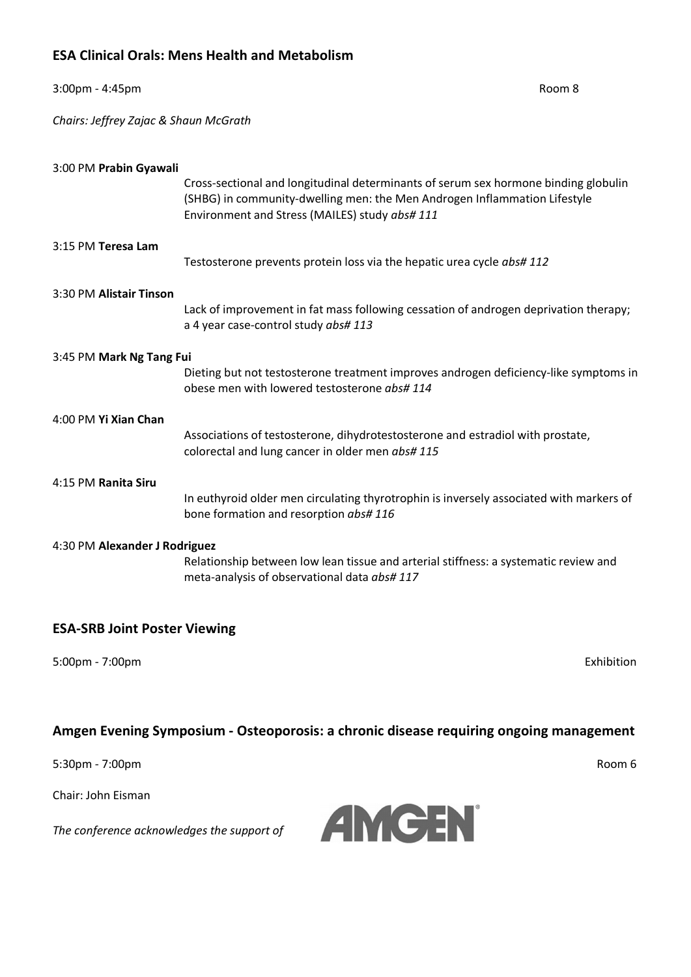### **ESA Clinical Orals: Mens Health and Metabolism**

| 3:00pm - 4:45pm                       |                                                                                                                                                                                                                    | Room 8 |
|---------------------------------------|--------------------------------------------------------------------------------------------------------------------------------------------------------------------------------------------------------------------|--------|
| Chairs: Jeffrey Zajac & Shaun McGrath |                                                                                                                                                                                                                    |        |
| 3:00 PM Prabin Gyawali                | Cross-sectional and longitudinal determinants of serum sex hormone binding globulin<br>(SHBG) in community-dwelling men: the Men Androgen Inflammation Lifestyle<br>Environment and Stress (MAILES) study abs# 111 |        |
| 3:15 PM Teresa Lam                    | Testosterone prevents protein loss via the hepatic urea cycle abs# 112                                                                                                                                             |        |
| 3:30 PM Alistair Tinson               | Lack of improvement in fat mass following cessation of androgen deprivation therapy;<br>a 4 year case-control study abs# 113                                                                                       |        |
| 3:45 PM Mark Ng Tang Fui              | Dieting but not testosterone treatment improves androgen deficiency-like symptoms in<br>obese men with lowered testosterone abs# 114                                                                               |        |
| 4:00 PM Yi Xian Chan                  | Associations of testosterone, dihydrotestosterone and estradiol with prostate,<br>colorectal and lung cancer in older men abs# 115                                                                                 |        |
| 4:15 PM Ranita Siru                   | In euthyroid older men circulating thyrotrophin is inversely associated with markers of<br>bone formation and resorption abs# 116                                                                                  |        |
| 4:30 PM Alexander J Rodriguez         | Relationship between low lean tissue and arterial stiffness: a systematic review and<br>meta-analysis of observational data abs# 117                                                                               |        |

### **ESA-SRB Joint Poster Viewing**

*The conference acknowledges the support of*

5:00pm - 7:00pm Exhibition

### **Amgen Evening Symposium - Osteoporosis: a chronic disease requiring ongoing management**

5:30pm - 7:00pm Room 6

Chair: John Eisman

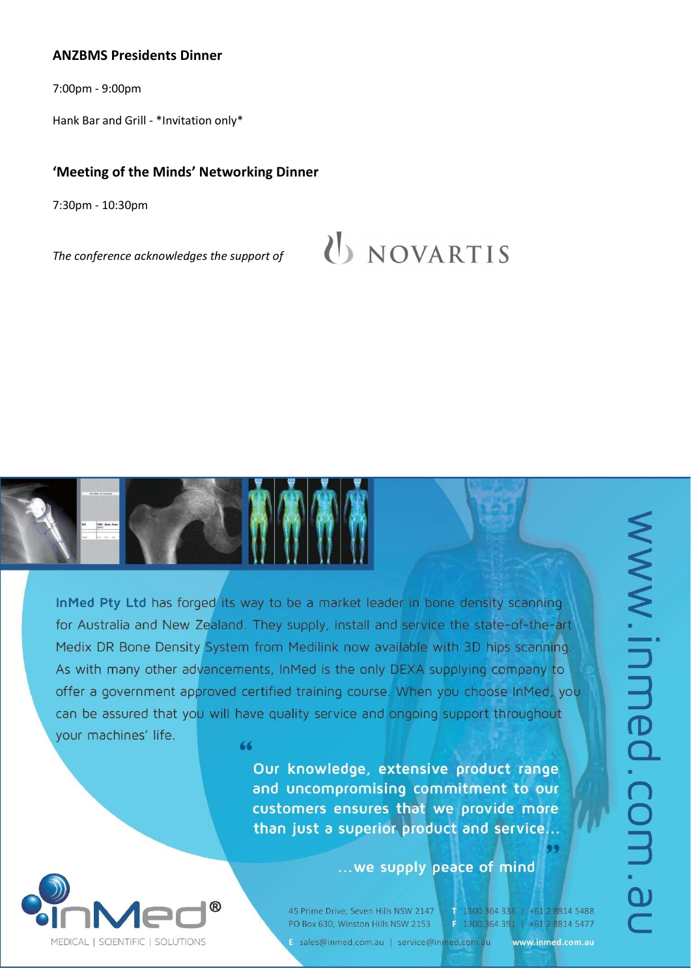### **ANZBMS Presidents Dinner**

7:00pm - 9:00pm

Hank Bar and Grill - \*Invitation only\*

### **'Meeting of the Minds' Networking Dinner**

7:30pm - 10:30pm

*The conference acknowledges the support of*

# U NOVARTIS

InMed Pty Ltd has forged its way to be a market leader in bone density scanning for Australia and New Zealand. They supply, install and service the state-of-the-art Medix DR Bone Density System from Medilink now available with 3D hips scanning. As with many other advancements, InMed is the only DEXA supplying company to offer a government approved certified training course. When you choose InMed, you can be assured that you will have quality service and ongoing support throughout your machines' life. 66

> Our knowledge, extensive product range and uncompromising commitment to our customers ensures that we provide more than just a superior product and service...

> > ... we supply peace of mind



45 Prime Drive, Seven Hills NSW 2147 PO Box 630, Winston Hills NSW 2153

1 1300 364 336 | +61 2 8814 5488 F 1300 364 391 | +61 2 8814 5477

E sales@inmed.com.au | service@inmed.com.au

www.inmed.com.au

99

www.inmed.com.au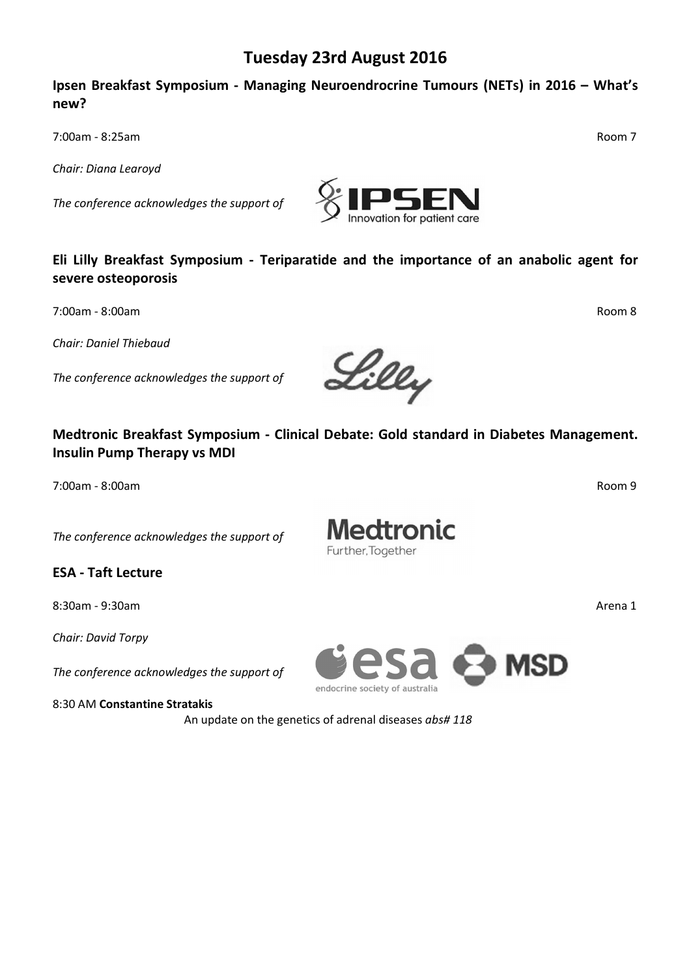### **Tuesday 23rd August 2016**

### **Ipsen Breakfast Symposium - Managing Neuroendrocrine Tumours (NETs) in 2016 – What's new?**

7:00am - 8:25am Room 7

*Chair: Diana Learoyd*

*The conference acknowledges the support of*

### **Eli Lilly Breakfast Symposium - Teriparatide and the importance of an anabolic agent for severe osteoporosis**

7:00am - 8:00am Room 8

*Chair: Daniel Thiebaud*

*The conference acknowledges the support of*

### **Medtronic Breakfast Symposium - Clinical Debate: Gold standard in Diabetes Management. Insulin Pump Therapy vs MDI**

7:00am - 8:00am Room 9

*The conference acknowledges the support of*

**ESA - Taft Lecture**

8:30am - 9:30am Arena 1

*Chair: David Torpy*

*The conference acknowledges the support of*

8:30 AM **Constantine Stratakis**

An update on the genetics of adrenal diseases *abs# 118*



**Medtronic** 

Further, Together





Lilly

endocrine societi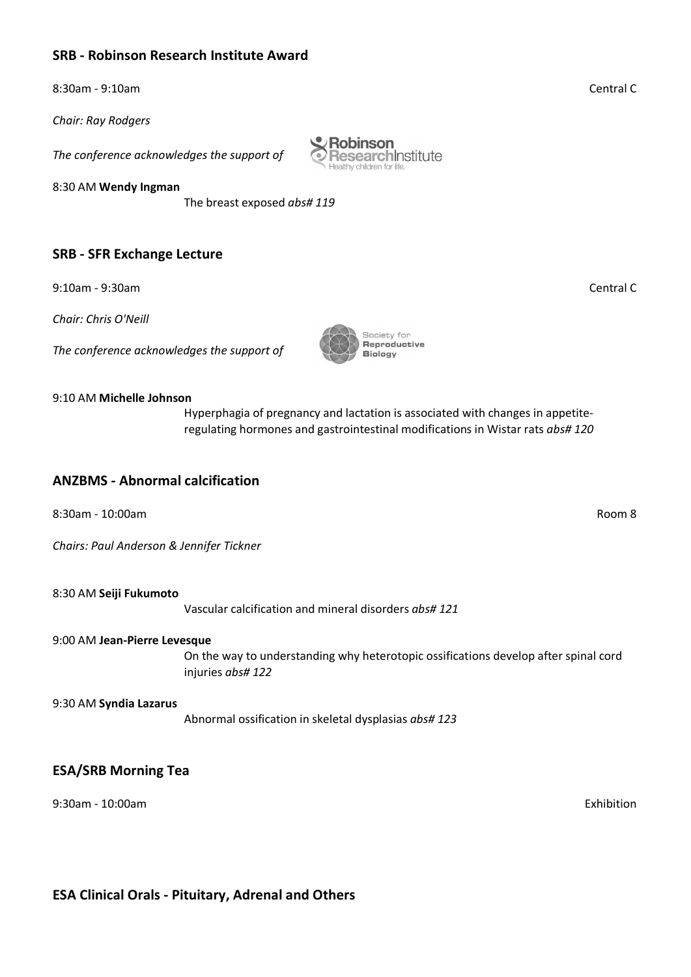### **SRB - Robinson Research Institute Award**

8:30am - 9:10am Central C

*Chair: Ray Rodgers*

*The conference acknowledges the support of*

8:30 AM **Wendy Ingman**

The breast exposed *abs# 119*

### **SRB - SFR Exchange Lecture**

9:10am - 9:30am Central C

*Chair: Chris O'Neill*

*The conference acknowledges the support of*

#### 9:10 AM **Michelle Johnson**

Hyperphagia of pregnancy and lactation is associated with changes in appetiteregulating hormones and gastrointestinal modifications in Wistar rats *abs# 120*

#### **ANZBMS - Abnormal calcification**

8:30am - 10:00am Room 8

*Chairs: Paul Anderson & Jennifer Tickner*

8:30 AM **Seiji Fukumoto**

Vascular calcification and mineral disorders *abs# 121*

#### 9:00 AM **Jean-Pierre Levesque**

On the way to understanding why heterotopic ossifications develop after spinal cord injuries *abs# 122*

#### 9:30 AM **Syndia Lazarus**

Abnormal ossification in skeletal dysplasias *abs# 123*

### **ESA/SRB Morning Tea**

9:30am - 10:00am Exhibition

**ESA Clinical Orals - Pituitary, Adrenal and Others**



Robinson

**ResearchInstitute** 



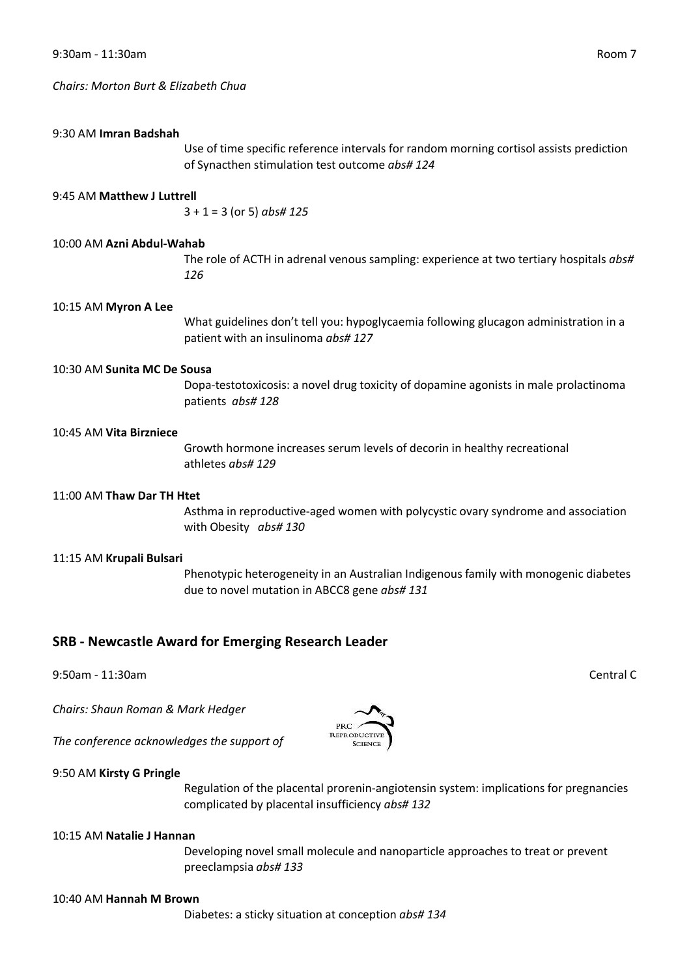*Chairs: Morton Burt & Elizabeth Chua*

#### 9:30 AM **Imran Badshah**

Use of time specific reference intervals for random morning cortisol assists prediction of Synacthen stimulation test outcome *abs# 124*

#### 9:45 AM **Matthew J Luttrell**

3 + 1 = 3 (or 5) *abs# 125*

#### 10:00 AM **Azni Abdul-Wahab**

The role of ACTH in adrenal venous sampling: experience at two tertiary hospitals *abs# 126*

#### 10:15 AM **Myron A Lee**

What guidelines don't tell you: hypoglycaemia following glucagon administration in a patient with an insulinoma *abs# 127*

#### 10:30 AM **Sunita MC De Sousa**

Dopa-testotoxicosis: a novel drug toxicity of dopamine agonists in male prolactinoma patients *abs# 128*

#### 10:45 AM **Vita Birzniece**

Growth hormone increases serum levels of decorin in healthy recreational athletes *abs# 129*

#### 11:00 AM **Thaw Dar TH Htet**

Asthma in reproductive-aged women with polycystic ovary syndrome and association with Obesity *abs# 130*

#### 11:15 AM **Krupali Bulsari**

Phenotypic heterogeneity in an Australian Indigenous family with monogenic diabetes due to novel mutation in ABCC8 gene *abs# 131*

#### **SRB - Newcastle Award for Emerging Research Leader**

9:50am - 11:30am Central C

*Chairs: Shaun Roman & Mark Hedger*

*The conference acknowledges the support of*

#### 9:50 AM **Kirsty G Pringle**

Regulation of the placental prorenin-angiotensin system: implications for pregnancies complicated by placental insufficiency *abs# 132*

#### 10:15 AM **Natalie J Hannan**

Developing novel small molecule and nanoparticle approaches to treat or prevent preeclampsia *abs# 133*

#### 10:40 AM **Hannah M Brown**

Diabetes: a sticky situation at conception *abs# 134*



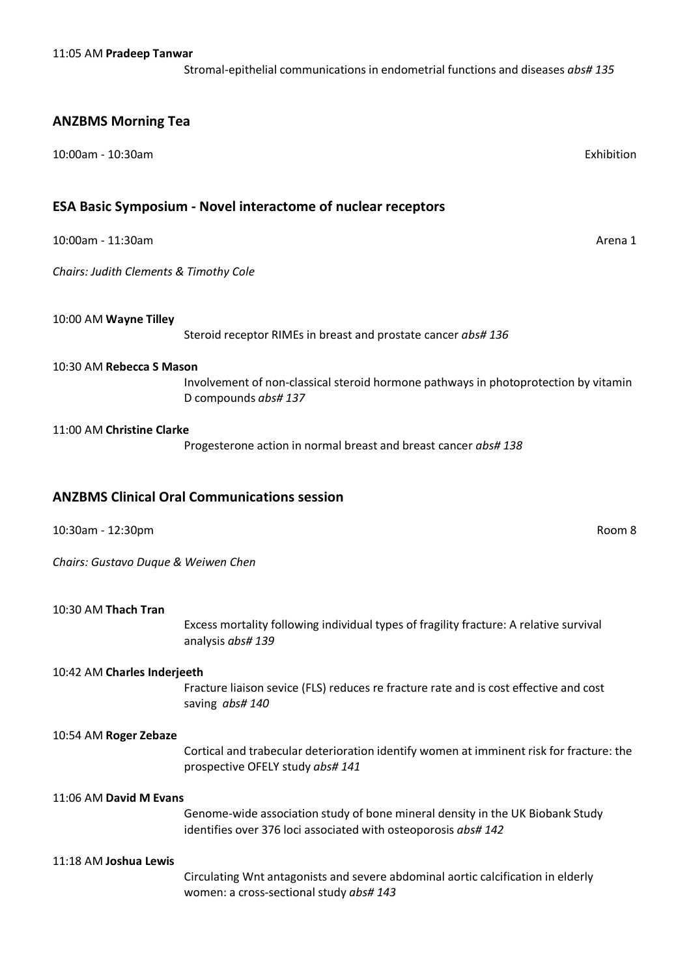Stromal-epithelial communications in endometrial functions and diseases *abs# 135*

#### **ANZBMS Morning Tea**

10:00am - 10:30am Exhibition

#### **ESA Basic Symposium - Novel interactome of nuclear receptors**

10:00am - 11:30am Arena 1

*Chairs: Judith Clements & Timothy Cole*

#### 10:00 AM **Wayne Tilley**

Steroid receptor RIMEs in breast and prostate cancer *abs# 136*

#### 10:30 AM **Rebecca S Mason**

Involvement of non-classical steroid hormone pathways in photoprotection by vitamin D compounds *abs# 137*

#### 11:00 AM **Christine Clarke**

Progesterone action in normal breast and breast cancer *abs# 138*

#### **ANZBMS Clinical Oral Communications session**

10:30am - 12:30pm Room 8

*Chairs: Gustavo Duque & Weiwen Chen*

#### 10:30 AM **Thach Tran**

Excess mortality following individual types of fragility fracture: A relative survival analysis *abs# 139*

#### 10:42 AM **Charles Inderjeeth**

Fracture liaison sevice (FLS) reduces re fracture rate and is cost effective and cost saving *abs# 140*

#### 10:54 AM **Roger Zebaze**

Cortical and trabecular deterioration identify women at imminent risk for fracture: the prospective OFELY study *abs# 141*

#### 11:06 AM **David M Evans**

Genome-wide association study of bone mineral density in the UK Biobank Study identifies over 376 loci associated with osteoporosis *abs# 142*

#### 11:18 AM **Joshua Lewis**

Circulating Wnt antagonists and severe abdominal aortic calcification in elderly women: a cross-sectional study *abs# 143*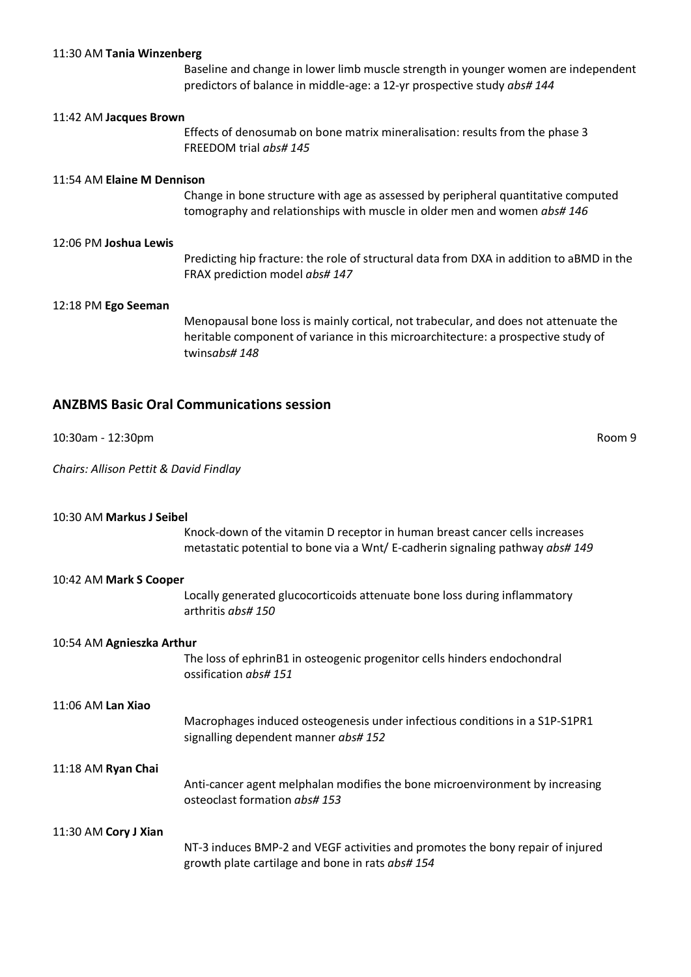#### 11:30 AM **Tania Winzenberg**

Baseline and change in lower limb muscle strength in younger women are independent predictors of balance in middle-age: a 12-yr prospective study *abs# 144*

#### 11:42 AM **Jacques Brown**

Effects of denosumab on bone matrix mineralisation: results from the phase 3 FREEDOM trial *abs# 145*

#### 11:54 AM **Elaine M Dennison**

Change in bone structure with age as assessed by peripheral quantitative computed tomography and relationships with muscle in older men and women *abs# 146*

#### 12:06 PM **Joshua Lewis**

Predicting hip fracture: the role of structural data from DXA in addition to aBMD in the FRAX prediction model *abs# 147*

#### 12:18 PM **Ego Seeman**

Menopausal bone loss is mainly cortical, not trabecular, and does not attenuate the heritable component of variance in this microarchitecture: a prospective study of twins*abs# 148*

### **ANZBMS Basic Oral Communications session**

10:30am - 12:30pm Room 9

*Chairs: Allison Pettit & David Findlay*

### 10:30 AM **Markus J Seibel** Knock-down of the vitamin D receptor in human breast cancer cells increases metastatic potential to bone via a Wnt/ E-cadherin signaling pathway *abs# 149* 10:42 AM **Mark S Cooper**

Locally generated glucocorticoids attenuate bone loss during inflammatory arthritis *abs# 150*

#### 10:54 AM **Agnieszka Arthur**

The loss of ephrinB1 in osteogenic progenitor cells hinders endochondral ossification *abs# 151*

11:06 AM **Lan Xiao**

Macrophages induced osteogenesis under infectious conditions in a S1P-S1PR1 signalling dependent manner *abs# 152*

#### 11:18 AM **Ryan Chai**

Anti-cancer agent melphalan modifies the bone microenvironment by increasing osteoclast formation *abs# 153*

#### 11:30 AM **Cory J Xian**

NT-3 induces BMP-2 and VEGF activities and promotes the bony repair of injured growth plate cartilage and bone in rats *abs# 154*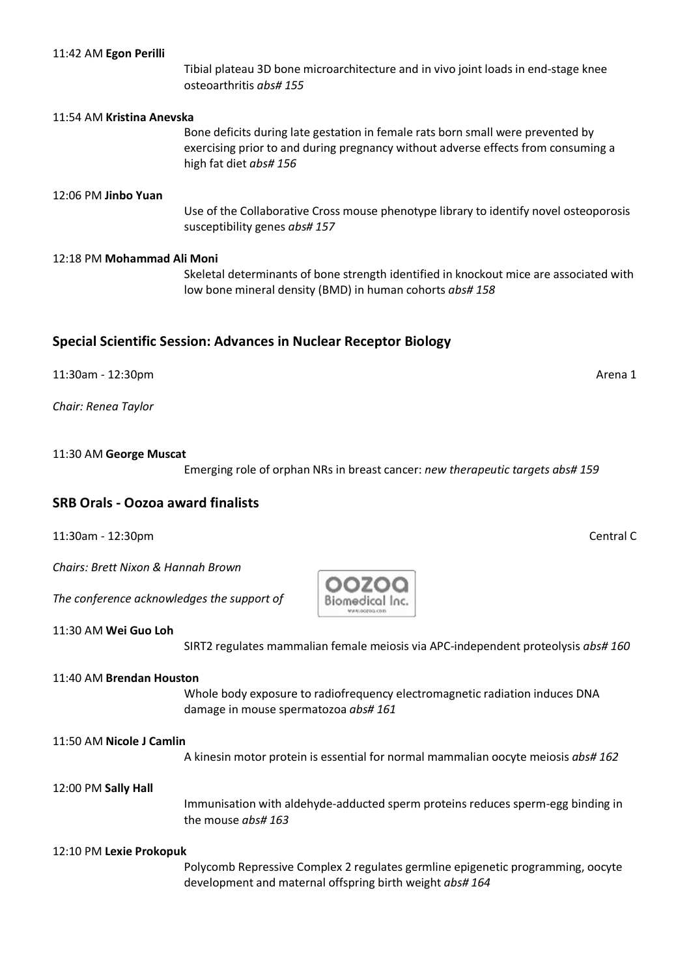#### 11:42 AM **Egon Perilli**

Tibial plateau 3D bone microarchitecture and in vivo joint loads in end-stage knee osteoarthritis *abs# 155*

#### 11:54 AM **Kristina Anevska**

Bone deficits during late gestation in female rats born small were prevented by exercising prior to and during pregnancy without adverse effects from consuming a high fat diet *abs# 156*

#### 12:06 PM **Jinbo Yuan**

Use of the Collaborative Cross mouse phenotype library to identify novel osteoporosis susceptibility genes *abs# 157*

#### 12:18 PM **Mohammad Ali Moni**

Skeletal determinants of bone strength identified in knockout mice are associated with low bone mineral density (BMD) in human cohorts *abs# 158*

#### **Special Scientific Session: Advances in Nuclear Receptor Biology**

11:30am - 12:30pm Arena 1

*Chair: Renea Taylor*

#### 11:30 AM **George Muscat**

Emerging role of orphan NRs in breast cancer: *new therapeutic targets abs# 159*

### **SRB Orals - Oozoa award finalists**

11:30am - 12:30pm Central C

*Chairs: Brett Nixon & Hannah Brown*

*The conference acknowledges the support of*

11:30 AM **Wei Guo Loh**

SIRT2 regulates mammalian female meiosis via APC-independent proteolysis *abs# 160*

#### 11:40 AM **Brendan Houston**

Whole body exposure to radiofrequency electromagnetic radiation induces DNA damage in mouse spermatozoa *abs# 161*

#### 11:50 AM **Nicole J Camlin**

A kinesin motor protein is essential for normal mammalian oocyte meiosis *abs# 162*

#### 12:00 PM **Sally Hall**

Immunisation with aldehyde-adducted sperm proteins reduces sperm-egg binding in the mouse *abs# 163*

#### 12:10 PM **Lexie Prokopuk**

Polycomb Repressive Complex 2 regulates germline epigenetic programming, oocyte development and maternal offspring birth weight *abs# 164*

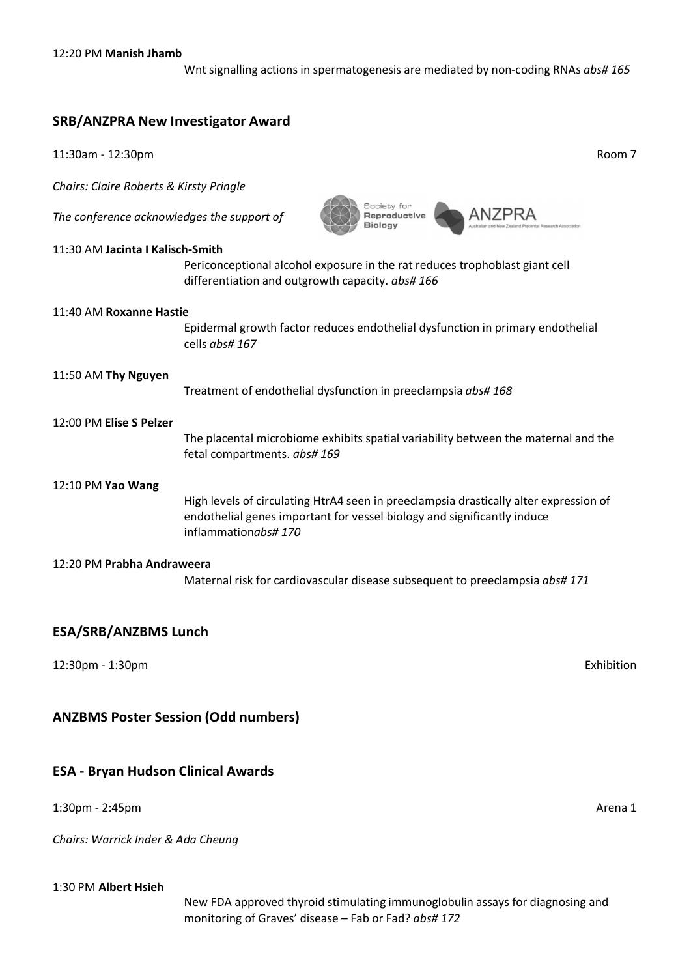Wnt signalling actions in spermatogenesis are mediated by non-coding RNAs *abs# 165*

### **SRB/ANZPRA New Investigator Award**

11:30am - 12:30pm Room 7 *Chairs: Claire Roberts & Kirsty Pringle* Society for **ANZPRA** Reproductive *The conference acknowledges the support of* **Biology** 11:30 AM **Jacinta I Kalisch-Smith** Periconceptional alcohol exposure in the rat reduces trophoblast giant cell differentiation and outgrowth capacity. *abs# 166* 11:40 AM **Roxanne Hastie** Epidermal growth factor reduces endothelial dysfunction in primary endothelial cells *abs# 167* 11:50 AM **Thy Nguyen** Treatment of endothelial dysfunction in preeclampsia *abs# 168* 12:00 PM **Elise S Pelzer** The placental microbiome exhibits spatial variability between the maternal and the fetal compartments. *abs# 169* 12:10 PM **Yao Wang** High levels of circulating HtrA4 seen in preeclampsia drastically alter expression of endothelial genes important for vessel biology and significantly induce inflammation*abs# 170* 12:20 PM **Prabha Andraweera** Maternal risk for cardiovascular disease subsequent to preeclampsia *abs# 171*

### **ESA/SRB/ANZBMS Lunch**

12:30pm - 1:30pm Exhibition

### **ANZBMS Poster Session (Odd numbers)**

### **ESA - Bryan Hudson Clinical Awards**

1:30pm - 2:45pm Arena 1

*Chairs: Warrick Inder & Ada Cheung*

### 1:30 PM **Albert Hsieh**

New FDA approved thyroid stimulating immunoglobulin assays for diagnosing and monitoring of Graves' disease – Fab or Fad? *abs# 172*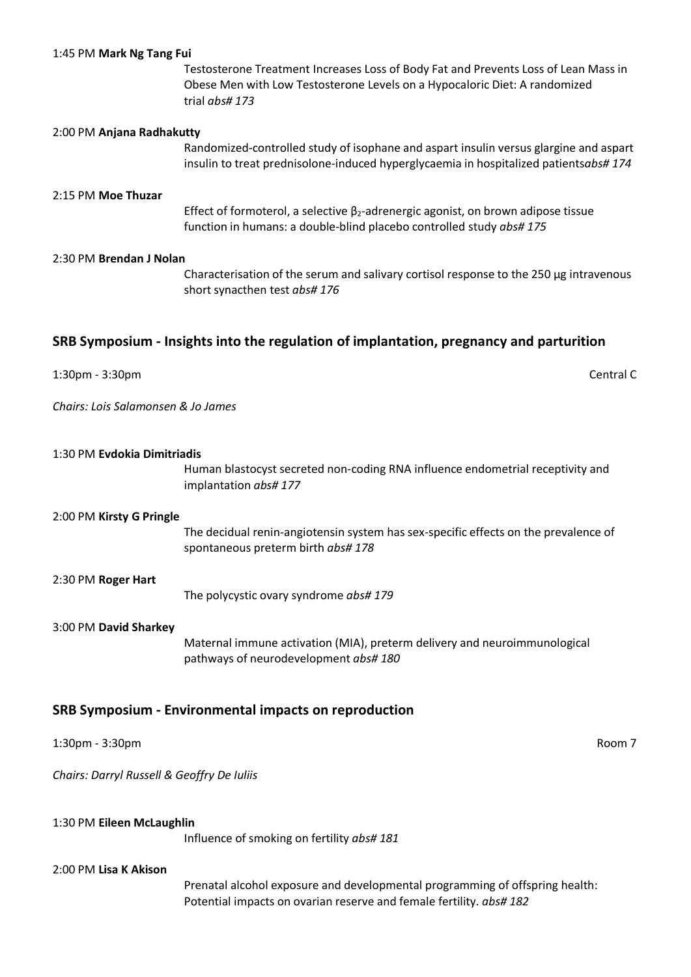|  | 1:45 PM Mark Ng Tang Fui |  |  |  |
|--|--------------------------|--|--|--|
|--|--------------------------|--|--|--|

Testosterone Treatment Increases Loss of Body Fat and Prevents Loss of Lean Mass in Obese Men with Low Testosterone Levels on a Hypocaloric Diet: A randomized trial *abs# 173*

#### 2:00 PM **Anjana Radhakutty**

Randomized-controlled study of isophane and aspart insulin versus glargine and aspart insulin to treat prednisolone-induced hyperglycaemia in hospitalized patients*abs# 174*

#### 2:15 PM **Moe Thuzar**

Effect of formoterol, a selective  $\beta_2$ -adrenergic agonist, on brown adipose tissue function in humans: a double-blind placebo controlled study *abs# 175*

#### 2:30 PM **Brendan J Nolan**

Characterisation of the serum and salivary cortisol response to the 250 µg intravenous short synacthen test *abs# 176*

#### **SRB Symposium - Insights into the regulation of implantation, pregnancy and parturition**

| 1:30pm - 3:30pm | Central C |
|-----------------|-----------|
|                 |           |

*Chairs: Lois Salamonsen & Jo James*

| 1:30 PM Evdokia Dimitriadis                |                                                                                                                           |        |
|--------------------------------------------|---------------------------------------------------------------------------------------------------------------------------|--------|
|                                            | Human blastocyst secreted non-coding RNA influence endometrial receptivity and<br>implantation abs# 177                   |        |
| 2:00 PM Kirsty G Pringle                   |                                                                                                                           |        |
|                                            | The decidual renin-angiotensin system has sex-specific effects on the prevalence of<br>spontaneous preterm birth abs# 178 |        |
| 2:30 PM Roger Hart                         |                                                                                                                           |        |
|                                            | The polycystic ovary syndrome abs# 179                                                                                    |        |
| 3:00 PM David Sharkey                      |                                                                                                                           |        |
|                                            | Maternal immune activation (MIA), preterm delivery and neuroimmunological<br>pathways of neurodevelopment abs#180         |        |
|                                            | <b>SRB Symposium - Environmental impacts on reproduction</b>                                                              |        |
| 1:30pm - 3:30pm                            |                                                                                                                           | Room 7 |
| Chairs: Darryl Russell & Geoffry De Iuliis |                                                                                                                           |        |

#### 1:30 PM **Eileen McLaughlin**

Influence of smoking on fertility *abs# 181*

#### 2:00 PM **Lisa K Akison**

Prenatal alcohol exposure and developmental programming of offspring health: Potential impacts on ovarian reserve and female fertility. *abs# 182*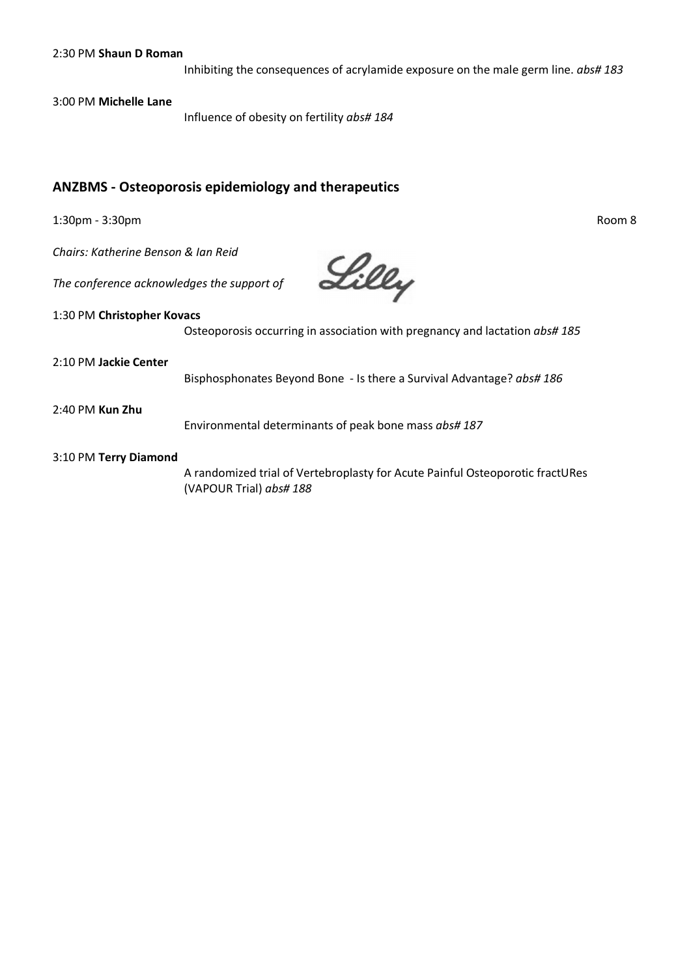Inhibiting the consequences of acrylamide exposure on the male germ line. *abs# 183*

3:00 PM **Michelle Lane**

Influence of obesity on fertility *abs# 184*

### **ANZBMS - Osteoporosis epidemiology and therapeutics**

1:30pm - 3:30pm Room 8

*Chairs: Katherine Benson & Ian Reid*

*The conference acknowledges the support of*

Lilly

#### 1:30 PM **Christopher Kovacs**

Osteoporosis occurring in association with pregnancy and lactation *abs# 185*

2:10 PM **Jackie Center**

Bisphosphonates Beyond Bone - Is there a Survival Advantage? *abs# 186*

2:40 PM **Kun Zhu**

Environmental determinants of peak bone mass *abs# 187*

#### 3:10 PM **Terry Diamond**

A randomized trial of Vertebroplasty for Acute Painful Osteoporotic fractURes (VAPOUR Trial) *abs# 188*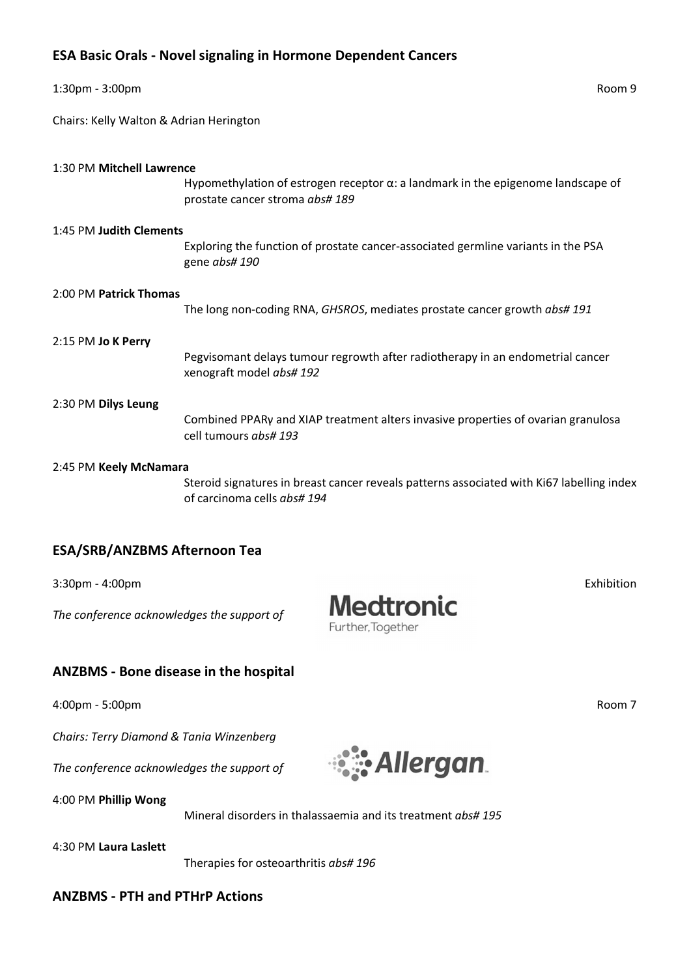### **ESA Basic Orals - Novel signaling in Hormone Dependent Cancers**

| 1:30pm - 3:00pm                         |                                                                                                                             | Room 9 |
|-----------------------------------------|-----------------------------------------------------------------------------------------------------------------------------|--------|
| Chairs: Kelly Walton & Adrian Herington |                                                                                                                             |        |
| 1:30 PM Mitchell Lawrence               | Hypomethylation of estrogen receptor $\alpha$ : a landmark in the epigenome landscape of<br>prostate cancer stroma abs# 189 |        |
| 1:45 PM Judith Clements                 | Exploring the function of prostate cancer-associated germline variants in the PSA<br>gene abs# 190                          |        |
| 2:00 PM Patrick Thomas                  | The long non-coding RNA, GHSROS, mediates prostate cancer growth abs# 191                                                   |        |
| 2:15 PM Jo K Perry                      | Pegvisomant delays tumour regrowth after radiotherapy in an endometrial cancer<br>xenograft model abs# 192                  |        |
| 2:30 PM Dilys Leung                     | Combined PPARy and XIAP treatment alters invasive properties of ovarian granulosa<br>cell tumours abs# 193                  |        |
| 2:45 PM Keely McNamara                  | Steroid signatures in breast cancer reveals patterns associated with Ki67 labelling index<br>of carcinoma cells abs# 194    |        |

### **ESA/SRB/ANZBMS Afternoon Tea**

3:30pm - 4:00pm Exhibition

*The conference acknowledges the support of*

### **ANZBMS - Bone disease in the hospital**

4:00pm - 5:00pm Room 7

*Chairs: Terry Diamond & Tania Winzenberg*

*The conference acknowledges the support of*

4:00 PM **Phillip Wong**

Mineral disorders in thalassaemia and its treatment *abs# 195*

4:30 PM **Laura Laslett**

Therapies for osteoarthritis *abs# 196*

### **ANZBMS - PTH and PTHrP Actions**



**Medtronic** 

Further, Together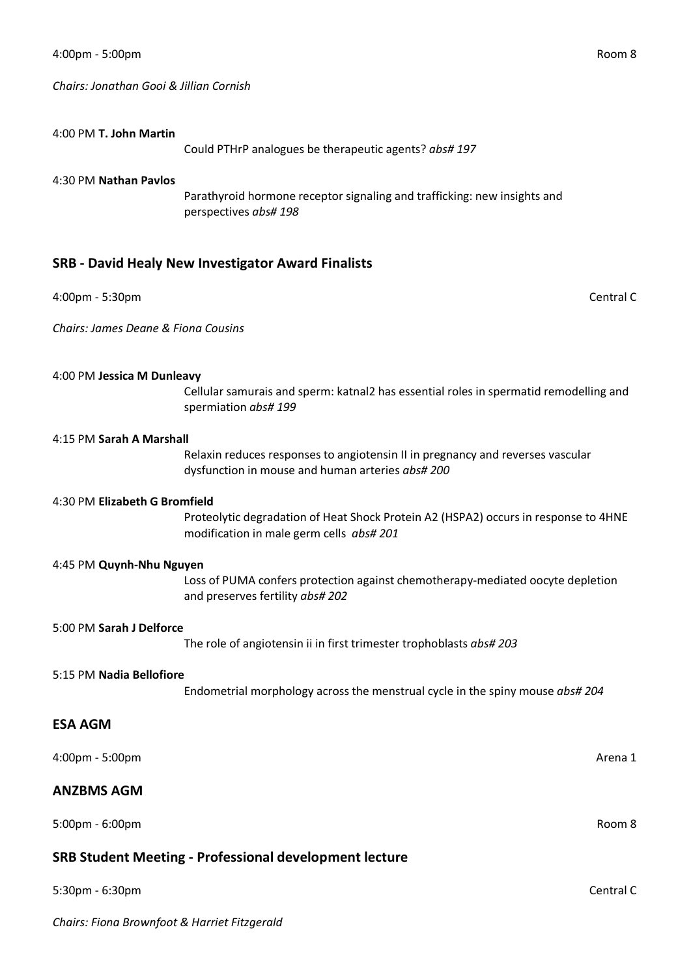*Chairs: Jonathan Gooi & Jillian Cornish*

#### 4:00 PM **T. John Martin**

Could PTHrP analogues be therapeutic agents? *abs# 197*

#### 4:30 PM **Nathan Pavlos**

Parathyroid hormone receptor signaling and trafficking: new insights and perspectives *abs# 198*

### **SRB - David Healy New Investigator Award Finalists**

#### 4:00pm - 5:30pm Central C

*Chairs: James Deane & Fiona Cousins*

#### 4:00 PM **Jessica M Dunleavy**

Cellular samurais and sperm: katnal2 has essential roles in spermatid remodelling and spermiation *abs# 199*

#### 4:15 PM **Sarah A Marshall**

Relaxin reduces responses to angiotensin II in pregnancy and reverses vascular dysfunction in mouse and human arteries *abs# 200*

#### 4:30 PM **Elizabeth G Bromfield**

Proteolytic degradation of Heat Shock Protein A2 (HSPA2) occurs in response to 4HNE modification in male germ cells *abs# 201*

#### 4:45 PM **Quynh-Nhu Nguyen**

Loss of PUMA confers protection against chemotherapy-mediated oocyte depletion and preserves fertility *abs# 202*

#### 5:00 PM **Sarah J Delforce**

The role of angiotensin ii in first trimester trophoblasts *abs# 203*

#### 5:15 PM **Nadia Bellofiore**

Endometrial morphology across the menstrual cycle in the spiny mouse *abs# 204*

#### **ESA AGM**

4:00pm - 5:00pm Arena 1

#### **ANZBMS AGM**

5:00pm - 6:00pm Room 8

### **SRB Student Meeting - Professional development lecture**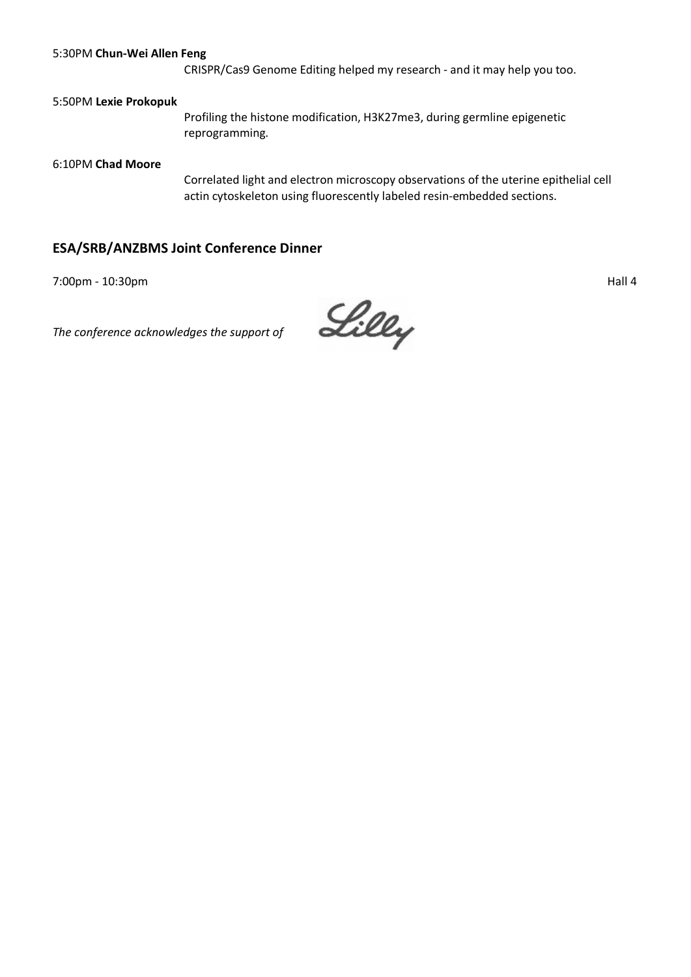#### 5:30PM **Chun-Wei Allen Feng**

CRISPR/Cas9 Genome Editing helped my research - and it may help you too.

#### 5:50PM **Lexie Prokopuk**

Profiling the histone modification, H3K27me3, during germline epigenetic reprogramming.

#### 6:10PM **Chad Moore**

Correlated light and electron microscopy observations of the uterine epithelial cell actin cytoskeleton using fluorescently labeled resin-embedded sections.

### **ESA/SRB/ANZBMS Joint Conference Dinner**

7:00pm - 10:30pm Hall 4

*The conference acknowledges the support of*

Lilly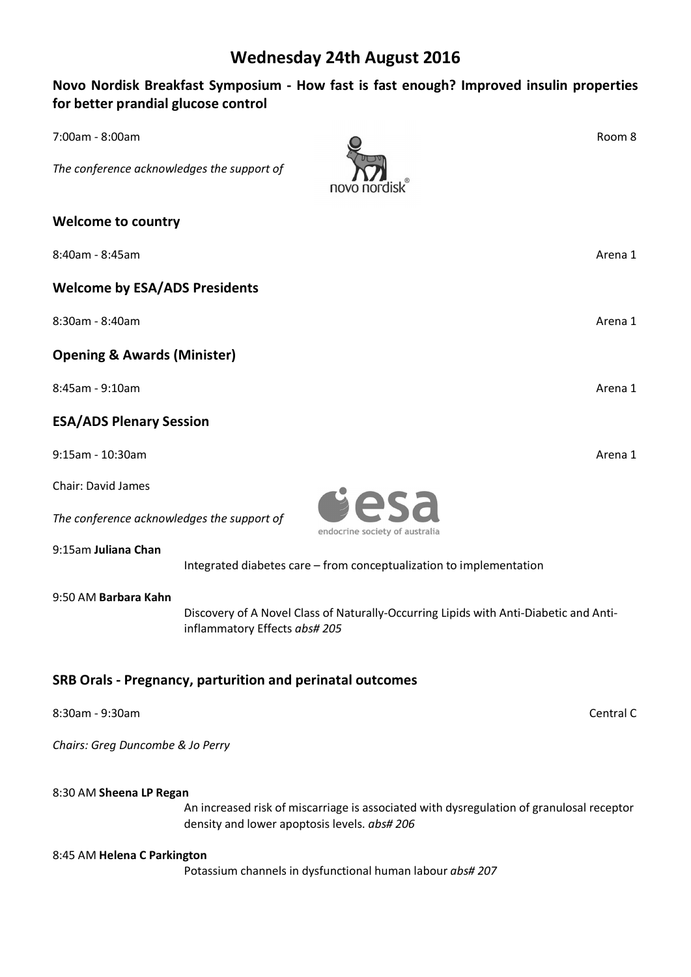## **Wednesday 24th August 2016**

### **Novo Nordisk Breakfast Symposium - How fast is fast enough? Improved insulin properties for better prandial glucose control**

| 7:00am - 8:00am                                                                                                                                |                                                           |                                                                                          | Room 8    |
|------------------------------------------------------------------------------------------------------------------------------------------------|-----------------------------------------------------------|------------------------------------------------------------------------------------------|-----------|
| The conference acknowledges the support of                                                                                                     |                                                           | novo                                                                                     |           |
| <b>Welcome to country</b>                                                                                                                      |                                                           |                                                                                          |           |
| 8:40am - 8:45am                                                                                                                                |                                                           |                                                                                          | Arena 1   |
| <b>Welcome by ESA/ADS Presidents</b>                                                                                                           |                                                           |                                                                                          |           |
| 8:30am - 8:40am                                                                                                                                |                                                           |                                                                                          | Arena 1   |
| <b>Opening &amp; Awards (Minister)</b>                                                                                                         |                                                           |                                                                                          |           |
| 8:45am - 9:10am                                                                                                                                |                                                           |                                                                                          | Arena 1   |
| <b>ESA/ADS Plenary Session</b>                                                                                                                 |                                                           |                                                                                          |           |
| 9:15am - 10:30am                                                                                                                               |                                                           |                                                                                          | Arena 1   |
| <b>Chair: David James</b>                                                                                                                      |                                                           |                                                                                          |           |
| The conference acknowledges the support of                                                                                                     |                                                           | esa<br>endocrine society of australia                                                    |           |
| 9:15am Juliana Chan                                                                                                                            |                                                           | Integrated diabetes care - from conceptualization to implementation                      |           |
| 9:50 AM Barbara Kahn<br>Discovery of A Novel Class of Naturally-Occurring Lipids with Anti-Diabetic and Anti-<br>inflammatory Effects abs# 205 |                                                           |                                                                                          |           |
|                                                                                                                                                | SRB Orals - Pregnancy, parturition and perinatal outcomes |                                                                                          |           |
| 8:30am - 9:30am                                                                                                                                |                                                           |                                                                                          | Central C |
| Chairs: Greg Duncombe & Jo Perry                                                                                                               |                                                           |                                                                                          |           |
| 8:30 AM Sheena LP Regan                                                                                                                        | density and lower apoptosis levels. abs# 206              | An increased risk of miscarriage is associated with dysregulation of granulosal receptor |           |
| 8:45 AM Helena C Parkington                                                                                                                    |                                                           |                                                                                          |           |

Potassium channels in dysfunctional human labour *abs# 207*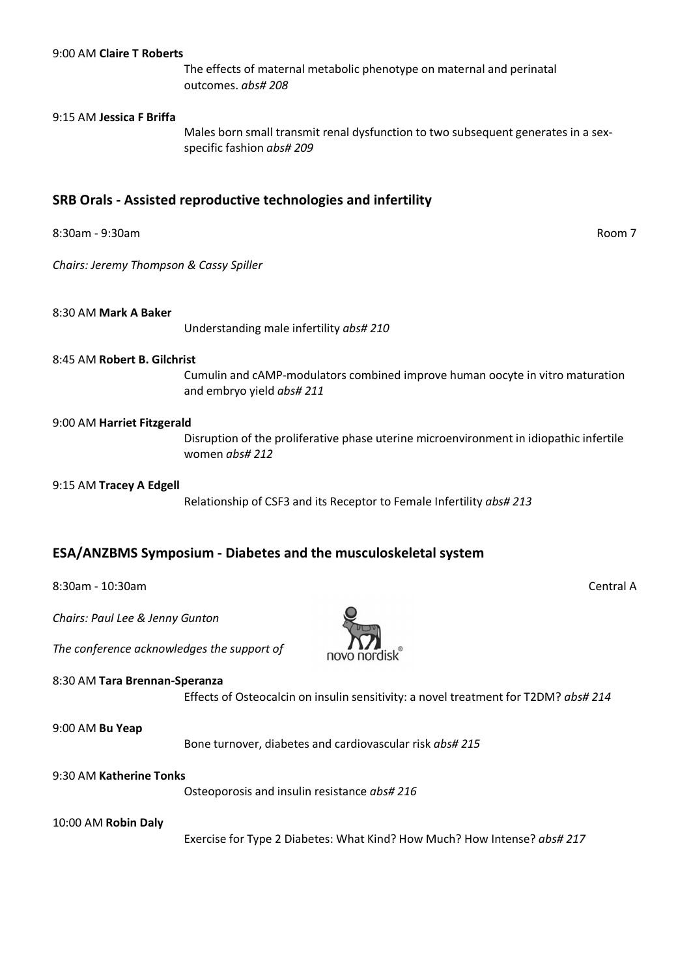#### 9:00 AM **Claire T Roberts**

The effects of maternal metabolic phenotype on maternal and perinatal outcomes. *abs# 208*

#### 9:15 AM **Jessica F Briffa**

Males born small transmit renal dysfunction to two subsequent generates in a sexspecific fashion *abs# 209*

### **SRB Orals - Assisted reproductive technologies and infertility**

8:30am - 9:30am Room 7

*Chairs: Jeremy Thompson & Cassy Spiller*

#### 8:30 AM **Mark A Baker**

Understanding male infertility *abs# 210*

#### 8:45 AM **Robert B. Gilchrist**

Cumulin and cAMP-modulators combined improve human oocyte in vitro maturation and embryo yield *abs# 211*

#### 9:00 AM **Harriet Fitzgerald**

Disruption of the proliferative phase uterine microenvironment in idiopathic infertile women *abs# 212*

#### 9:15 AM **Tracey A Edgell**

Relationship of CSF3 and its Receptor to Female Infertility *abs# 213*

#### **ESA/ANZBMS Symposium - Diabetes and the musculoskeletal system**

8:30am - 10:30am - 20:00 Am - 20:00 Am - 20:00 Am - 20:00 Am - 20:00 Am - 20:00 Am - 20:00 Am - 20:00 Am - 20:0

*Chairs: Paul Lee & Jenny Gunton*

*The conference acknowledges the support of*

#### 8:30 AM **Tara Brennan-Speranza**

Effects of Osteocalcin on insulin sensitivity: a novel treatment for T2DM? *abs# 214*

#### 9:00 AM **Bu Yeap**

Bone turnover, diabetes and cardiovascular risk *abs# 215*

#### 9:30 AM **Katherine Tonks**

Osteoporosis and insulin resistance *abs# 216*

#### 10:00 AM **Robin Daly**

Exercise for Type 2 Diabetes: What Kind? How Much? How Intense? *abs# 217*

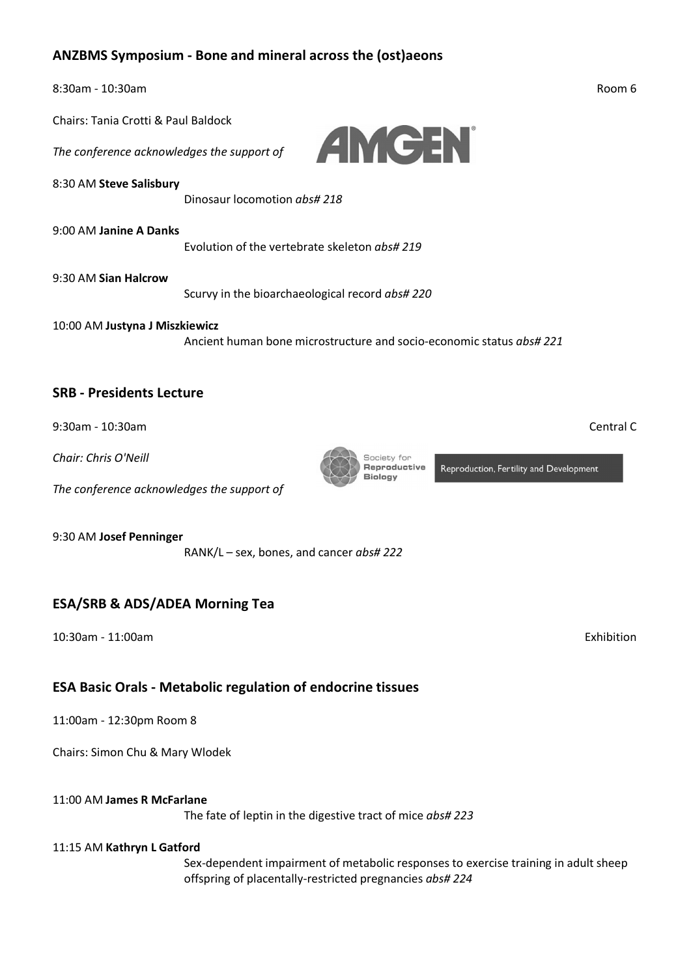### **ANZBMS Symposium - Bone and mineral across the (ost)aeons**

| $8:30$ am - 10:30am                 |                                                                             | Room 6 |
|-------------------------------------|-----------------------------------------------------------------------------|--------|
| Chairs: Tanja Crotti & Paul Baldock |                                                                             |        |
|                                     | The conference acknowledges the support of <b>TANGEN</b>                    |        |
| 8:30 AM Steve Salisbury             | Dinosaur locomotion abs#218                                                 |        |
| 9:00 AM Janine A Danks              | Evolution of the vertebrate skeleton abs# 219                               |        |
| 9:30 AM Sian Halcrow                | Scurvy in the bioarchaeological record abs#220                              |        |
| 10:00 AM Justyna J Miszkiewicz      | Ancient human bone microstructure and socio-economic status <i>abs# 221</i> |        |

### **SRB - Presidents Lecture**

9:30am - 10:30am Central C

*Chair: Chris O'Neill*

*The conference acknowledges the support of*

9:30 AM **Josef Penninger**

RANK/L – sex, bones, and cancer *abs# 222*

### **ESA/SRB & ADS/ADEA Morning Tea**

10:30am - 11:00am Exhibition

### **ESA Basic Orals - Metabolic regulation of endocrine tissues**

11:00am - 12:30pm Room 8

Chairs: Simon Chu & Mary Wlodek

### 11:00 AM **James R McFarlane**

The fate of leptin in the digestive tract of mice *abs# 223*

### 11:15 AM **Kathryn L Gatford**

Sex-dependent impairment of metabolic responses to exercise training in adult sheep offspring of placentally-restricted pregnancies *abs# 224*

Society for<br>**Reproductive** Biology

Reproduction, Fertility and Development

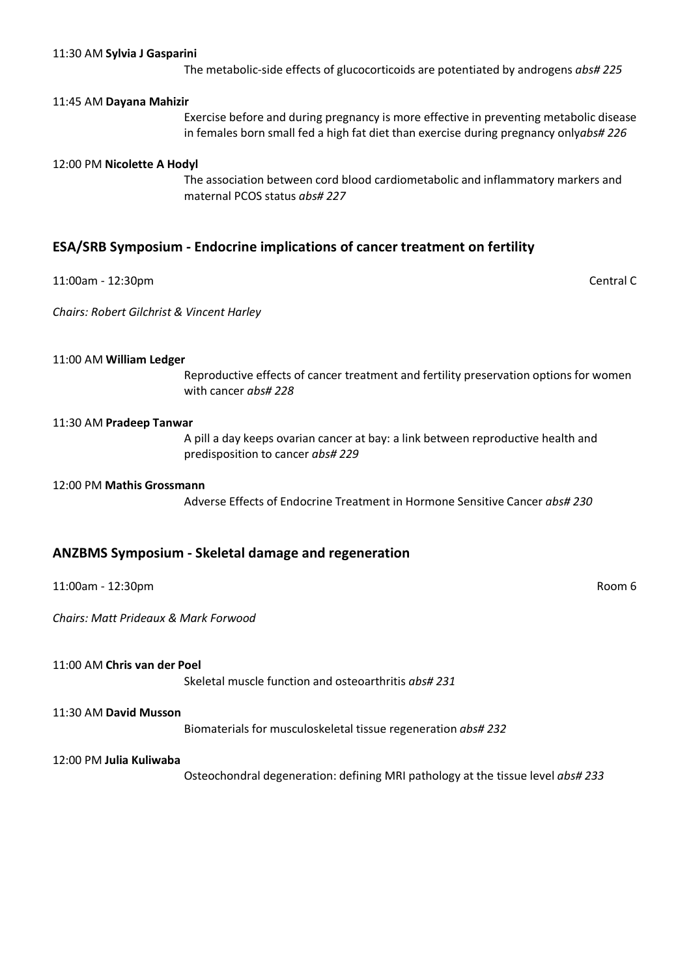#### 11:30 AM **Sylvia J Gasparini**

The metabolic-side effects of glucocorticoids are potentiated by androgens *abs# 225*

#### 11:45 AM **Dayana Mahizir**

Exercise before and during pregnancy is more effective in preventing metabolic disease in females born small fed a high fat diet than exercise during pregnancy only*abs# 226*

#### 12:00 PM **Nicolette A Hodyl**

The association between cord blood cardiometabolic and inflammatory markers and maternal PCOS status *abs# 227*

#### **ESA/SRB Symposium - Endocrine implications of cancer treatment on fertility**

11:00am - 12:30pm Central C

*Chairs: Robert Gilchrist & Vincent Harley*

#### 11:00 AM **William Ledger**

Reproductive effects of cancer treatment and fertility preservation options for women with cancer *abs# 228*

#### 11:30 AM **Pradeep Tanwar**

A pill a day keeps ovarian cancer at bay: a link between reproductive health and predisposition to cancer *abs# 229*

#### 12:00 PM **Mathis Grossmann**

Adverse Effects of Endocrine Treatment in Hormone Sensitive Cancer *abs# 230*

#### **ANZBMS Symposium - Skeletal damage and regeneration**

#### 11:00am - 12:30pm Room 6

*Chairs: Matt Prideaux & Mark Forwood*

#### 11:00 AM **Chris van der Poel**

Skeletal muscle function and osteoarthritis *abs# 231*

#### 11:30 AM **David Musson**

Biomaterials for musculoskeletal tissue regeneration *abs# 232*

#### 12:00 PM **Julia Kuliwaba**

Osteochondral degeneration: defining MRI pathology at the tissue level *abs# 233*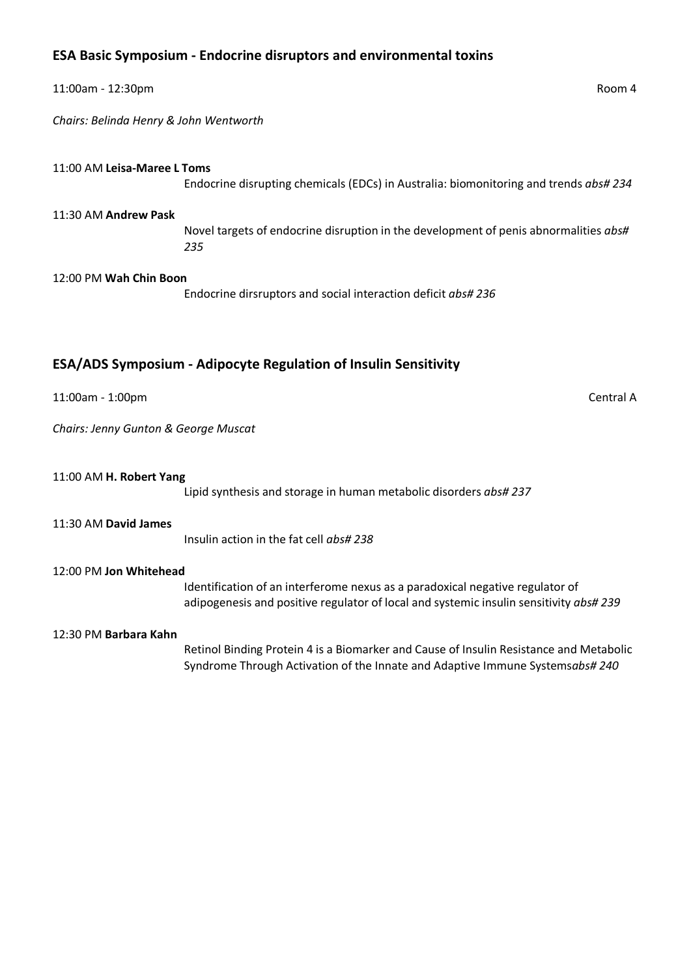### **ESA Basic Symposium - Endocrine disruptors and environmental toxins**

| 11:00am - 12:30pm                      |                                                                                             | Room 4    |
|----------------------------------------|---------------------------------------------------------------------------------------------|-----------|
| Chairs: Belinda Henry & John Wentworth |                                                                                             |           |
|                                        |                                                                                             |           |
| 11:00 AM Leisa-Maree L Toms            | Endocrine disrupting chemicals (EDCs) in Australia: biomonitoring and trends abs# 234       |           |
| 11:30 AM Andrew Pask                   |                                                                                             |           |
|                                        | Novel targets of endocrine disruption in the development of penis abnormalities abs#<br>235 |           |
| 12:00 PM Wah Chin Boon                 |                                                                                             |           |
|                                        | Endocrine dirsruptors and social interaction deficit abs# 236                               |           |
|                                        |                                                                                             |           |
|                                        | ESA/ADS Symposium - Adipocyte Regulation of Insulin Sensitivity                             |           |
| 11:00am - 1:00pm                       |                                                                                             | Central A |
| Chairs: Jenny Gunton & George Muscat   |                                                                                             |           |
| 11:00 AM H. Robert Yang                |                                                                                             |           |
|                                        | Lipid synthesis and storage in human metabolic disorders abs# 237                           |           |
| 11:30 AM David James                   |                                                                                             |           |
|                                        | Insulin action in the fat cell abs# 238                                                     |           |

#### 12:00 PM **Jon Whitehead**

Identification of an interferome nexus as a paradoxical negative regulator of adipogenesis and positive regulator of local and systemic insulin sensitivity *abs# 239*

#### 12:30 PM **Barbara Kahn**

Retinol Binding Protein 4 is a Biomarker and Cause of Insulin Resistance and Metabolic Syndrome Through Activation of the Innate and Adaptive Immune Systems*abs# 240*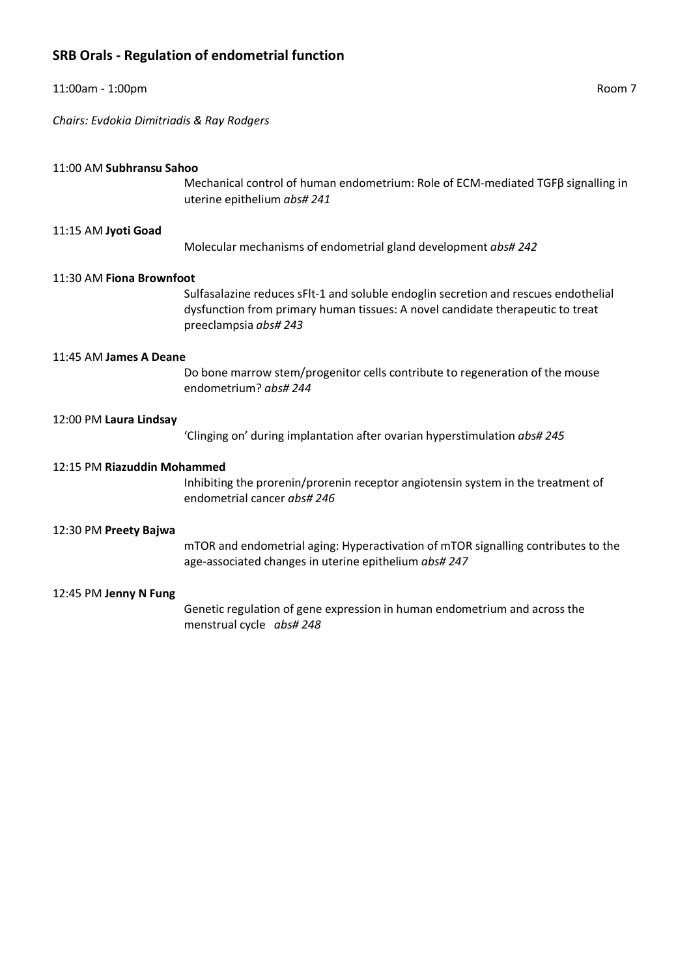## **SRB Orals - Regulation of endometrial function**

| 11:00am - 1:00pm                          | Room 7                                                                                                                                                                                         |
|-------------------------------------------|------------------------------------------------------------------------------------------------------------------------------------------------------------------------------------------------|
| Chairs: Evdokia Dimitriadis & Ray Rodgers |                                                                                                                                                                                                |
| 11:00 AM Subhransu Sahoo                  | Mechanical control of human endometrium: Role of ECM-mediated TGF $\beta$ signalling in<br>uterine epithelium abs# 241                                                                         |
| 11:15 AM Jyoti Goad                       | Molecular mechanisms of endometrial gland development abs# 242                                                                                                                                 |
| 11:30 AM Fiona Brownfoot                  | Sulfasalazine reduces sFIt-1 and soluble endoglin secretion and rescues endothelial<br>dysfunction from primary human tissues: A novel candidate therapeutic to treat<br>preeclampsia abs# 243 |
| 11:45 AM James A Deane                    | Do bone marrow stem/progenitor cells contribute to regeneration of the mouse<br>endometrium? abs# 244                                                                                          |
| 12:00 PM Laura Lindsay                    | 'Clinging on' during implantation after ovarian hyperstimulation abs# 245                                                                                                                      |
| 12:15 PM Riazuddin Mohammed               | Inhibiting the prorenin/prorenin receptor angiotensin system in the treatment of<br>endometrial cancer abs# 246                                                                                |
| 12:30 PM Preety Bajwa                     | mTOR and endometrial aging: Hyperactivation of mTOR signalling contributes to the<br>age-associated changes in uterine epithelium abs# 247                                                     |
| 12:45 PM Jenny N Fung                     | Genetic regulation of gene expression in human endometrium and across the<br>menstrual cycle abs#248                                                                                           |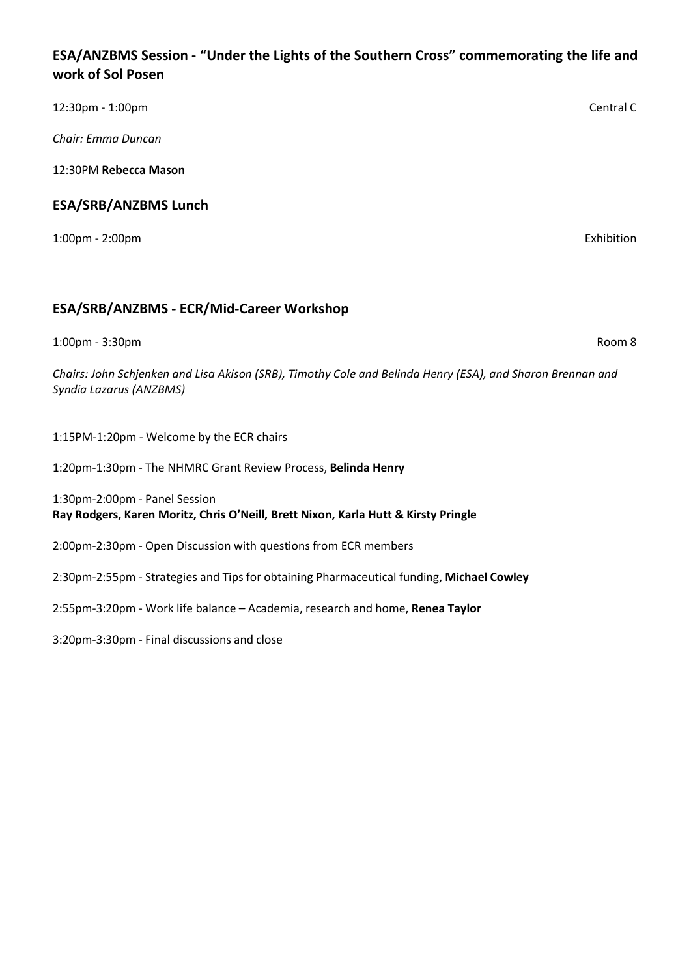### **ESA/ANZBMS Session - "Under the Lights of the Southern Cross" commemorating the life and work of Sol Posen**

| 12:30pm - 1:00pm            | Central C  |
|-----------------------------|------------|
| Chair: Emma Duncan          |            |
| 12:30PM Rebecca Mason       |            |
| <b>ESA/SRB/ANZBMS Lunch</b> |            |
| 1:00pm - 2:00pm             | Exhibition |
|                             |            |

### **ESA/SRB/ANZBMS - ECR/Mid-Career Workshop**

1:00pm - 3:30pm Room 8

*Chairs: John Schjenken and Lisa Akison (SRB), Timothy Cole and Belinda Henry (ESA), and Sharon Brennan and Syndia Lazarus (ANZBMS)*

1:15PM-1:20pm - Welcome by the ECR chairs

1:20pm-1:30pm - The NHMRC Grant Review Process, **Belinda Henry**

1:30pm-2:00pm - Panel Session **Ray Rodgers, Karen Moritz, Chris O'Neill, Brett Nixon, Karla Hutt & Kirsty Pringle**

2:00pm-2:30pm - Open Discussion with questions from ECR members

2:30pm-2:55pm - Strategies and Tips for obtaining Pharmaceutical funding, **Michael Cowley**

2:55pm-3:20pm - Work life balance – Academia, research and home, **Renea Taylor**

3:20pm-3:30pm - Final discussions and close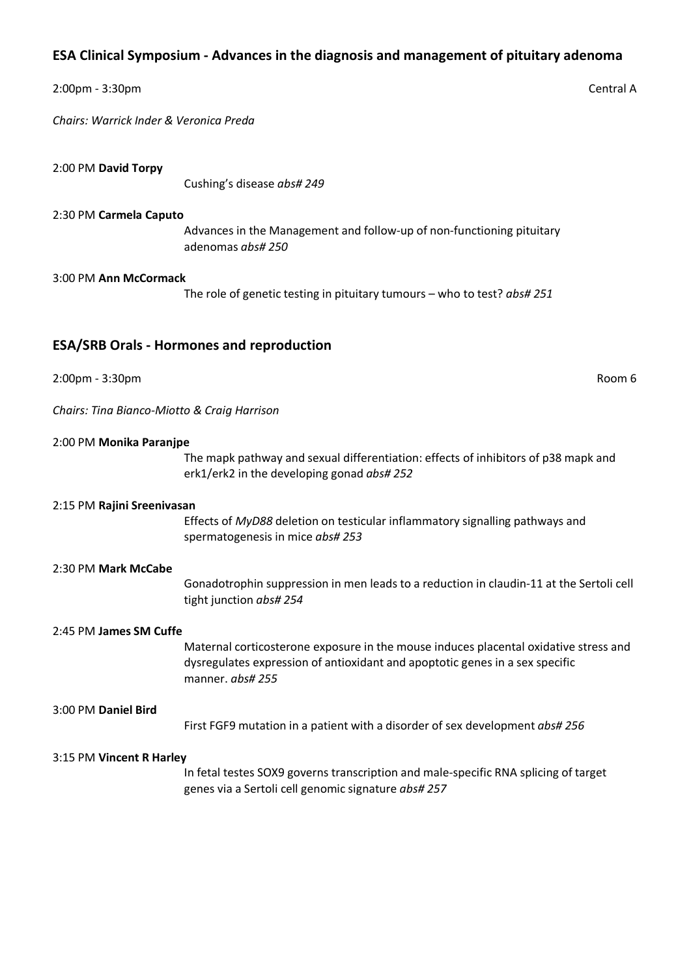### **ESA Clinical Symposium - Advances in the diagnosis and management of pituitary adenoma**

#### 2:00pm - 3:30pm Central A

*Chairs: Warrick Inder & Veronica Preda*

2:00 PM **David Torpy**

Cushing's disease *abs# 249*

#### 2:30 PM **Carmela Caputo**

Advances in the Management and follow-up of non-functioning pituitary adenomas *abs# 250*

#### 3:00 PM **Ann McCormack**

The role of genetic testing in pituitary tumours – who to test? *abs# 251*

### **ESA/SRB Orals - Hormones and reproduction**

2:00pm - 3:30pm Room 6

*Chairs: Tina Bianco-Miotto & Craig Harrison*

#### 2:00 PM **Monika Paranjpe**

The mapk pathway and sexual differentiation: effects of inhibitors of p38 mapk and erk1/erk2 in the developing gonad *abs# 252*

#### 2:15 PM **Rajini Sreenivasan**

Effects of *MyD88* deletion on testicular inflammatory signalling pathways and spermatogenesis in mice *abs# 253*

#### 2:30 PM **Mark McCabe**

Gonadotrophin suppression in men leads to a reduction in claudin-11 at the Sertoli cell tight junction *abs# 254*

#### 2:45 PM **James SM Cuffe**

Maternal corticosterone exposure in the mouse induces placental oxidative stress and dysregulates expression of antioxidant and apoptotic genes in a sex specific manner. *abs# 255*

#### 3:00 PM **Daniel Bird**

First FGF9 mutation in a patient with a disorder of sex development *abs# 256*

#### 3:15 PM **Vincent R Harley**

In fetal testes SOX9 governs transcription and male-specific RNA splicing of target genes via a Sertoli cell genomic signature *abs# 257*